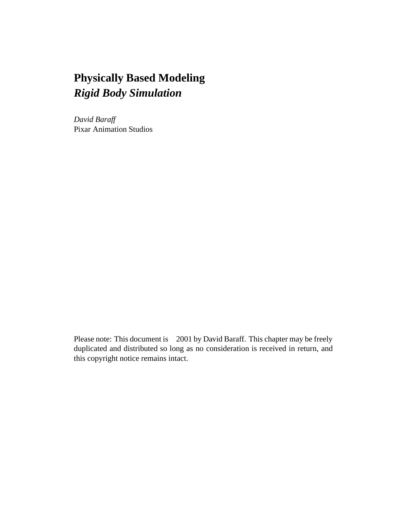# **Physically Based Modeling** *Rigid Body Simulation*

*David Baraff* Pixar Animation Studios

Please note: This document is ©2001 by David Baraff. This chapter may be freely duplicated and distributed so long as no consideration is received in return, and this copyright notice remains intact.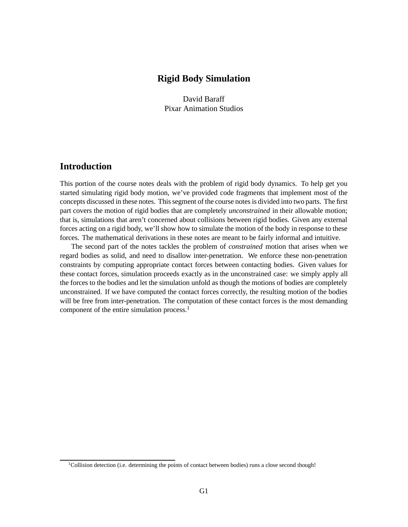## **Rigid Body Simulation**

David Baraff Pixar Animation Studios

## **Introduction**

This portion of the course notes deals with the problem of rigid body dynamics. To help get you started simulating rigid body motion, we've provided code fragments that implement most of the concepts discussed in these notes. This segment of the course notes is divided into two parts. The first part covers the motion of rigid bodies that are completely *unconstrained* in their allowable motion; that is, simulations that aren't concerned about collisions between rigid bodies. Given any external forces acting on a rigid body, we'll show how to simulate the motion of the body in response to these forces. The mathematical derivations in these notes are meant to be fairly informal and intuitive.

The second part of the notes tackles the problem of *constrained* motion that arises when we regard bodies as solid, and need to disallow inter-penetration. We enforce these non-penetration constraints by computing appropriate contact forces between contacting bodies. Given values for these contact forces, simulation proceeds exactly as in the unconstrained case: we simply apply all the forces to the bodies and let the simulation unfold as though the motions of bodies are completely unconstrained. If we have computed the contact forces correctly, the resulting motion of the bodies will be free from inter-penetration. The computation of these contact forces is the most demanding component of the entire simulation process.<sup>1</sup>

<sup>&</sup>lt;sup>1</sup>Collision detection (i.e. determining the points of contact between bodies) runs a close second though!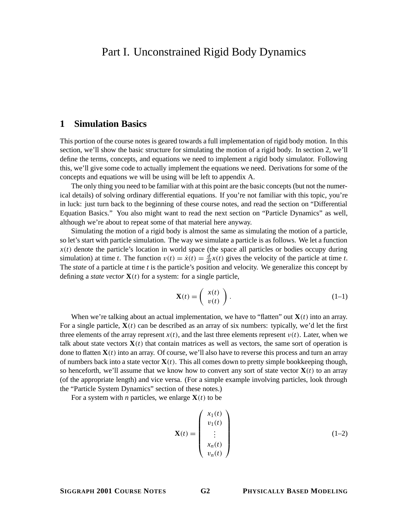# Part I. Unconstrained Rigid Body Dynamics

## **1 Simulation Basics**

This portion of the course notes is geared towards a full implementation of rigid body motion. In this section, we'll show the basic structure for simulating the motion of a rigid body. In section 2, we'll define the terms, concepts, and equations we need to implement a rigid body simulator. Following this, we'll give some code to actually implement the equations we need. Derivations for some of the concepts and equations we will be using will be left to appendix A.

The only thing you need to be familiar with at this point are the basic concepts (but not the numerical details) of solving ordinary differential equations. If you're not familiar with this topic, you're in luck: just turn back to the beginning of these course notes, and read the section on "Differential Equation Basics." You also might want to read the next section on "Particle Dynamics" as well, although we're about to repeat some of that material here anyway.

Simulating the motion of a rigid body is almost the same as simulating the motion of a particle, so let's start with particle simulation. The way we simulate a particle is as follows. We let a function  $x(t)$  denote the particle's location in world space (the space all particles or bodies occupy during simulation) at time *t*. The function  $v(t) = \dot{x}(t) = \frac{d}{dt}x(t)$  gives the velocity of the particle at time *t*. The *state* of a particle at time *t* is the particle's position and velocity. We generalize this concept by defining a *state vector*  $\mathbf{X}(t)$  for a system: for a single particle,

$$
\mathbf{X}(t) = \left(\begin{array}{c} x(t) \\ v(t) \end{array}\right). \tag{1-1}
$$

When we're talking about an actual implementation, we have to "flatten" out  $X(t)$  into an array. For a single particle,  $\mathbf{X}(t)$  can be described as an array of six numbers: typically, we'd let the first three elements of the array represent  $x(t)$ , and the last three elements represent  $v(t)$ . Later, when we talk about state vectors  $\mathbf{X}(t)$  that contain matrices as well as vectors, the same sort of operation is done to flatten  **into an array. Of course, we'll also have to reverse this process and turn an array** of numbers back into a state vector  $\mathbf{X}(t)$ . This all comes down to pretty simple bookkeeping though, so henceforth, we'll assume that we know how to convert any sort of state vector  $\mathbf{X}(t)$  to an array (of the appropriate length) and vice versa. (For a simple example involving particles, look through the "Particle System Dynamics" section of these notes.)

For a system with *n* particles, we enlarge  $\mathbf{X}(t)$  to be

$$
\mathbf{X}(t) = \begin{pmatrix} x_1(t) \\ v_1(t) \\ \vdots \\ x_n(t) \\ v_n(t) \end{pmatrix}
$$
 (1-2)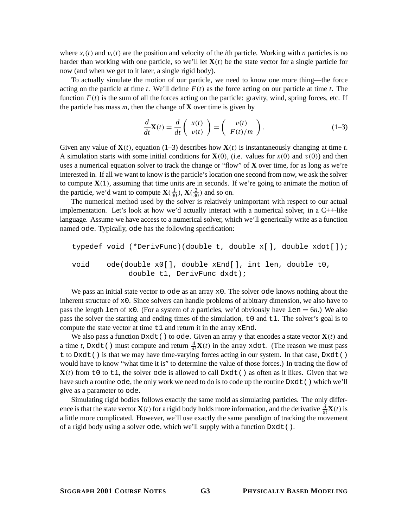where  $x_i(t)$  and  $v_i(t)$  are the position and velocity of the *i*th particle. Working with *n* particles is no harder than working with one particle, so we'll let  $X(t)$  be the state vector for a single particle for now (and when we get to it later, a single rigid body).

To actually simulate the motion of our particle, we need to know one more thing—the force acting on the particle at time *t*. We'll define *F*(*t*) as the force acting on our particle at time *t*. The function  $F(t)$  is the sum of all the forces acting on the particle: gravity, wind, spring forces, etc. If the particle has mass  $m$ , then the change of **X** over time is given by

$$
\frac{d}{dt}\mathbf{X}(t) = \frac{d}{dt}\begin{pmatrix} x(t) \\ v(t) \end{pmatrix} = \begin{pmatrix} v(t) \\ F(t)/m \end{pmatrix}.
$$
 (1-3)

Given any value of  $\mathbf{X}(t)$ , equation (1–3) describes how  $\mathbf{X}(t)$  is instantaneously changing at time *t*. A simulation starts with some initial conditions for  $X(0)$ , (i.e. values for  $x(0)$  and  $v(0)$ ) and then uses a numerical equation solver to track the change or "flow" of **X** over time, for as long as we're interested in. If all we want to know is the particle's location one second from now, we ask the solver to compute  $X(1)$ , assuming that time units are in seconds. If we're going to animate the motion of the particle, we'd want to compute  $\mathbf{X}(\frac{1}{30}), \mathbf{X}(\frac{2}{30})$  and so on.

The numerical method used by the solver is relatively unimportant with respect to our actual implementation. Let's look at how we'd actually interact with a numerical solver, in a  $C_{++}$ -like language. Assume we have access to a numerical solver, which we'll generically write as a function named ode. Typically, ode has the following specification:

```
typedef void (*DerivFunc)(double t, double x[], double xdot[]);
void ode(double x0[], double xEnd[], int len, double t0,
            double t1, DerivFunc dxdt);
```
We pass an initial state vector to  $\circ$ de as an array  $\times$  0. The solver  $\circ$ de knows nothing about the inherent structure of  $x0$ . Since solvers can handle problems of arbitrary dimension, we also have to pass the length  $l = n$  of  $\infty$ 0. (For a system of *n* particles, we'd obviously have  $l = \infty$ ). We also pass the solver the starting and ending times of the simulation, t0 and t1. The solver's goal is to compute the state vector at time  $t_1$  and return it in the array  $x \text{End}$ .

We also pass a function  $D \times dt$  () to ode. Given an array y that encodes a state vector  $\mathbf{X}(t)$  and a time *t*, Dxdt() must compute and return  $\frac{d}{dt}\mathbf{X}(t)$  in the array xdot. (The reason we must pass t to Dxdt() is that we may have time-varying forces acting in our system. In that case, Dxdt() would have to know "what time it is" to determine the value of those forces.) In tracing the flow of  **from t0 to t1, the solver ode is allowed to call Dxdt() as often as it likes. Given that we** have such a routine ode, the only work we need to do is to code up the routine  $D \times d t$  () which we'll give as a parameter to ode.

Simulating rigid bodies follows exactly the same mold as simulating particles. The only difference is that the state vector **X**(*t*) for a rigid body holds more information, and the derivative  $\frac{d}{dt}\mathbf{X}(t)$  is a little more complicated. However, we'll use exactly the same paradigm of tracking the movement of a rigid body using a solver ode, which we'll supply with a function Dxdt().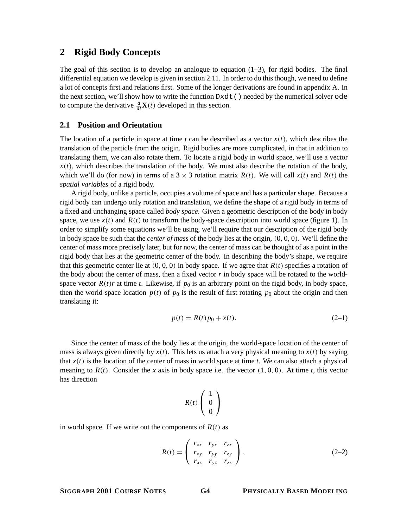## **2 Rigid Body Concepts**

The goal of this section is to develop an analogue to equation  $(1-3)$ , for rigid bodies. The final differential equation we develop is given in section 2.11. In order to do this though, we need to define a lot of concepts first and relations first. Some of the longer derivations are found in appendix A. In the next section, we'll show how to write the function Dxdt() needed by the numerical solver ode to compute the derivative  $\frac{d}{dt}\mathbf{X}(t)$  developed in this section.

## **2.1 Position and Orientation**

The location of a particle in space at time  $t$  can be described as a vector  $x(t)$ , which describes the translation of the particle from the origin. Rigid bodies are more complicated, in that in addition to translating them, we can also rotate them. To locate a rigid body in world space, we'll use a vector  $x(t)$ , which describes the translation of the body. We must also describe the rotation of the body, which we'll do (for now) in terms of a 3  $\times$  3 rotation matrix *R*(*t*). We will call *x*(*t*) and *R*(*t*) the *spatial variables* of a rigid body.

A rigid body, unlike a particle, occupies a volume of space and has a particular shape. Because a rigid body can undergo only rotation and translation, we define the shape of a rigid body in terms of a fixed and unchanging space called *body space*. Given a geometric description of the body in body space, we use  $x(t)$  and  $R(t)$  to transform the body-space description into world space (figure 1). In order to simplify some equations we'll be using, we'll require that our description of the rigid body in body space be such that the *center of mass* of the body lies at the origin, (0, 0, 0). We'll define the center of mass more precisely later, but for now, the center of mass can be thought of as a point in the rigid body that lies at the geometric center of the body. In describing the body's shape, we require that this geometric center lie at  $(0, 0, 0)$  in body space. If we agree that  $R(t)$  specifies a rotation of the body about the center of mass, then a fixed vector  $r$  in body space will be rotated to the worldspace vector  $R(t)r$  at time *t*. Likewise, if  $p_0$  is an arbitrary point on the rigid body, in body space, then the world-space location  $p(t)$  of  $p_0$  is the result of first rotating  $p_0$  about the origin and then translating it:

$$
p(t) = R(t)p_0 + x(t).
$$
 (2-1)

Since the center of mass of the body lies at the origin, the world-space location of the center of mass is always given directly by  $x(t)$ . This lets us attach a very physical meaning to  $x(t)$  by saying that  $x(t)$  is the location of the center of mass in world space at time *t*. We can also attach a physical meaning to  $R(t)$ . Consider the *x* axis in body space i.e. the vector  $(1, 0, 0)$ . At time *t*, this vector has direction

$$
R(t)\left(\begin{array}{c}1\\0\\0\end{array}\right)
$$

 $1 - 1 - 1$ 

in world space. If we write out the components of  $R(t)$  as

$$
R(t) = \begin{pmatrix} r_{xx} & r_{yx} & r_{zx} \\ r_{xy} & r_{yy} & r_{zy} \\ r_{xz} & r_{yz} & r_{zz} \end{pmatrix},
$$
 (2-2)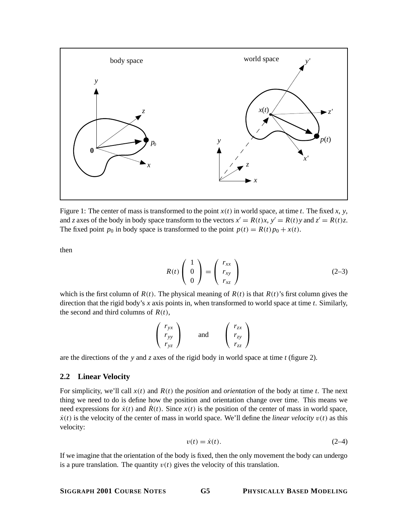

Figure 1: The center of mass is transformed to the point *x*(*t*) in world space, at time *t*. The fixed *x*, *y*, and *z* axes of the body in body space transform to the vectors  $x' = R(t)x$ ,  $y' = R(t)y$  and  $z' = R(t)z$ . The fixed point  $p_0$  in body space is transformed to the point  $p(t) = R(t)p_0 + x(t)$ .

then

$$
R(t) \begin{pmatrix} 1 \\ 0 \\ 0 \end{pmatrix} = \begin{pmatrix} r_{xx} \\ r_{xy} \\ r_{xz} \end{pmatrix}
$$
 (2-3)

which is the first column of  $R(t)$ . The physical meaning of  $R(t)$  is that  $R(t)$ 's first column gives the direction that the rigid body's *x* axis points in, when transformed to world space at time *t*. Similarly, the second and third columns of  $R(t)$ ,

$$
\begin{pmatrix}\nr_{yx} \\
r_{yy} \\
r_{yz}\n\end{pmatrix}\n\text{ and }\n\begin{pmatrix}\nr_{zx} \\
r_{zy} \\
r_{zz}\n\end{pmatrix}
$$

are the directions of the *y* and *z* axes of the rigid body in world space at time *t* (figure 2).

## **2.2 Linear Velocity**

For simplicity, we'll call  $x(t)$  and  $R(t)$  the *position* and *orientation* of the body at time *t*. The next thing we need to do is define how the position and orientation change over time. This means we need expressions for  $\dot{x}(t)$  and  $\dot{R}(t)$ . Since  $x(t)$  is the position of the center of mass in world space,  $\dot{x}(t)$  is the velocity of the center of mass in world space. We'll define the *linear velocity*  $v(t)$  as this velocity:

$$
v(t) = \dot{x}(t). \tag{2-4}
$$

If we imagine that the orientation of the body is fixed, then the only movement the body can undergo is a pure translation. The quantity  $v(t)$  gives the velocity of this translation.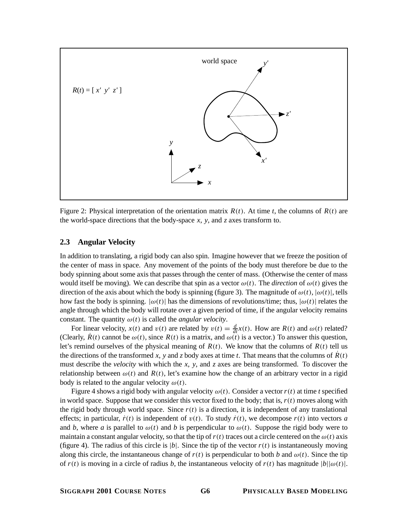

Figure 2: Physical interpretation of the orientation matrix  $R(t)$ . At time *t*, the columns of  $R(t)$  are the world-space directions that the body-space  $x$ ,  $y$ , and  $z$  axes transform to.

## **2.3 Angular Velocity**

In addition to translating, a rigid body can also spin. Imagine however that we freeze the position of the center of mass in space. Any movement of the points of the body must therefore be due to the body spinning about some axis that passes through the center of mass. (Otherwise the center of mass would itself be moving). We can describe that spin as a vector  $\omega(t)$ . The *direction* of  $\omega(t)$  gives the direction of the axis about which the body is spinning (figure 3). The magnitude of  $\omega(t)$ ,  $|\omega(t)|$ , tells how fast the body is spinning.  $|\omega(t)|$  has the dimensions of revolutions/time; thus,  $|\omega(t)|$  relates the angle through which the body will rotate over a given period of time, if the angular velocity remains constant. The quantity  $\omega(t)$  is called the *angular velocity*.

For linear velocity,  $x(t)$  and  $v(t)$  are related by  $v(t) = \frac{d}{dt}x(t)$ . How are  $R(t)$  and  $\omega(t)$  related? (Clearly,  $R(t)$  cannot be  $\omega(t)$ , since  $R(t)$  is a matrix, and  $\omega(t)$  is a vector.) To answer this question, let's remind ourselves of the physical meaning of  $R(t)$ . We know that the columns of  $R(t)$  tell us the directions of the transformed *x*, *y* and *z* body axes at time *t*. That means that the columns of  $\hat{R}(t)$ must describe the *velocity* with which the *x*, *y*, and *z* axes are being transformed. To discover the relationship between  $\omega(t)$  and  $R(t)$ , let's examine how the change of an arbitrary vector in a rigid body is related to the angular velocity  $\omega(t)$ .

Figure 4 shows a rigid body with angular velocity  $\omega(t)$ . Consider a vector  $r(t)$  at time *t* specified in world space. Suppose that we consider this vector fixed to the body; that is,  $r(t)$  moves along with the rigid body through world space. Since  $r(t)$  is a direction, it is independent of any translational effects; in particular,  $\dot{r}(t)$  is independent of  $v(t)$ . To study  $\dot{r}(t)$ , we decompose  $r(t)$  into vectors *a* and *b*, where *a* is parallel to  $\omega(t)$  and *b* is perpendicular to  $\omega(t)$ . Suppose the rigid body were to maintain a constant angular velocity, so that the tip of  $r(t)$  traces out a circle centered on the  $\omega(t)$  axis (figure 4). The radius of this circle is  $|b|$ . Since the tip of the vector  $r(t)$  is instantaneously moving along this circle, the instantaneous change of  $r(t)$  is perpendicular to both *b* and  $\omega(t)$ . Since the tip of  $r(t)$  is moving in a circle of radius *b*, the instantaneous velocity of  $r(t)$  has magnitude  $|b||\omega(t)|$ .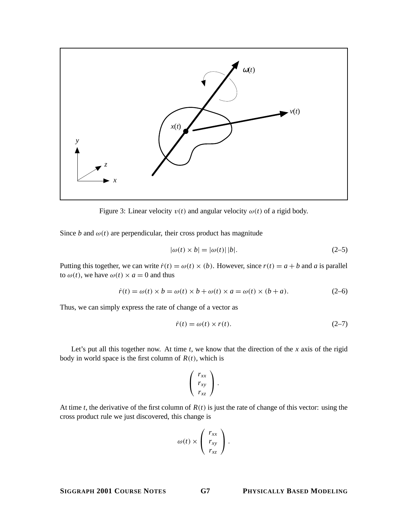

Figure 3: Linear velocity  $v(t)$  and angular velocity  $\omega(t)$  of a rigid body.

Since *b* and  $\omega(t)$  are perpendicular, their cross product has magnitude

$$
|\omega(t) \times b| = |\omega(t)| |b|.
$$
 (2–5)

Putting this together, we can write  $\dot{r}(t) = \omega(t) \times (b)$ . However, since  $r(t) = a + b$  and *a* is parallel to  $\omega(t)$ , we have  $\omega(t) \times a = 0$  and thus

$$
\dot{r}(t) = \omega(t) \times b = \omega(t) \times b + \omega(t) \times a = \omega(t) \times (b + a). \tag{2-6}
$$

Thus, we can simply express the rate of change of a vector as

$$
\dot{r}(t) = \omega(t) \times r(t). \tag{2-7}
$$

Let's put all this together now. At time  $t$ , we know that the direction of the  $x$  axis of the rigid body in world space is the first column of  $R(t)$ , which is

$$
\left(\begin{array}{c}r_{xx}\\r_{xy}\\r_{xz}\end{array}\right).
$$

At time *t*, the derivative of the first column of  $R(t)$  is just the rate of change of this vector: using the cross product rule we just discovered, this change is

$$
\omega(t) \times \left(\begin{array}{c}r_{xx}\\r_{xy}\\r_{xz}\end{array}\right).
$$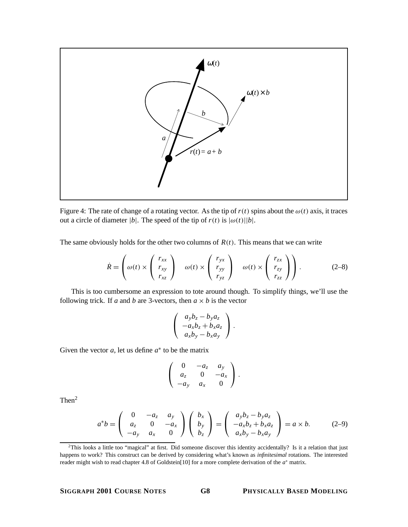

Figure 4: The rate of change of a rotating vector. As the tip of  $r(t)$  spins about the  $\omega(t)$  axis, it traces out a circle of diameter |*b*|. The speed of the tip of  $r(t)$  is  $|\omega(t)||b|$ .

The same obviously holds for the other two columns of *R*(*t*). This means that we can write

$$
\dot{R} = \begin{pmatrix} r_{xx} \\ \omega(t) \times \begin{pmatrix} r_{xy} \\ r_{xy} \\ r_{xz} \end{pmatrix} & \omega(t) \times \begin{pmatrix} r_{yx} \\ r_{yy} \\ r_{yz} \end{pmatrix} & \omega(t) \times \begin{pmatrix} r_{zx} \\ r_{zy} \\ r_{zz} \end{pmatrix} \end{pmatrix}.
$$
 (2-8)

This is too cumbersome an expression to tote around though. To simplify things, we'll use the following trick. If *a* and *b* are 3-vectors, then  $a \times b$  is the vector

$$
\left(\begin{array}{c}a_yb_z-b_ya_z\\-a_xb_z+b_xa_z\\a_xb_y-b_xa_y\end{array}\right).
$$

Given the vector  $a$ , let us define  $a^*$  to be the matrix

$$
\left(\begin{array}{ccc} 0 & -a_{z} & a_{y} \\ a_{z} & 0 & -a_{x} \\ -a_{y} & a_{x} & 0 \end{array}\right).
$$

Then2

$$
a^*b = \begin{pmatrix} 0 & -a_z & a_y \\ a_z & 0 & -a_x \\ -a_y & a_x & 0 \end{pmatrix} \begin{pmatrix} b_x \\ b_y \\ b_z \end{pmatrix} = \begin{pmatrix} a_yb_z - b_ya_z \\ -a_xb_z + b_xa_z \\ a_xb_y - b_xa_y \end{pmatrix} = a \times b. \tag{2-9}
$$

 $2$ This looks a little too "magical" at first. Did someone discover this identity accidentally? Is it a relation that just happens to work? This construct can be derived by considering what's known as *infinitesimal* rotations. The interested reader might wish to read chapter 4.8 of Goldstein[10] for a more complete derivation of the *a*<sup>∗</sup> matrix.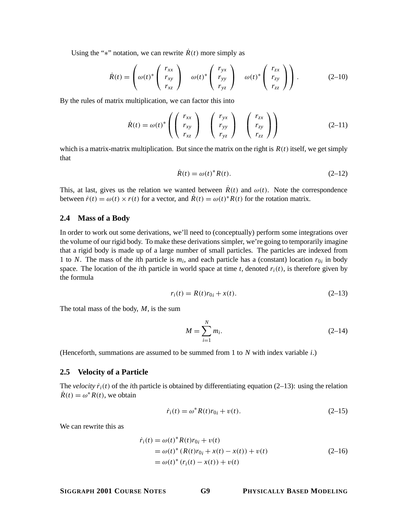Using the "\*" notation, we can rewrite  $\dot{R}(t)$  more simply as

$$
\dot{R}(t) = \begin{pmatrix} r_{xx} \\ \omega(t)^* \begin{pmatrix} r_{xy} \\ r_{xy} \\ r_{xz} \end{pmatrix} & \omega(t)^* \begin{pmatrix} r_{yx} \\ r_{yy} \\ r_{yz} \end{pmatrix} & \omega(t)^* \begin{pmatrix} r_{zx} \\ r_{zy} \\ r_{zz} \end{pmatrix} \end{pmatrix}.
$$
 (2-10)

By the rules of matrix multiplication, we can factor this into

$$
\dot{R}(t) = \omega(t)^* \left( \begin{pmatrix} r_{xx} \\ r_{xy} \\ r_{xz} \end{pmatrix} \begin{pmatrix} r_{yx} \\ r_{yy} \\ r_{yz} \end{pmatrix} \begin{pmatrix} r_{zx} \\ r_{zy} \\ r_{zz} \end{pmatrix} \right)
$$
(2-11)

which is a matrix-matrix multiplication. But since the matrix on the right is  $R(t)$  itself, we get simply that

$$
\dot{R}(t) = \omega(t)^* R(t). \tag{2-12}
$$

This, at last, gives us the relation we wanted between  $\hat{R}(t)$  and  $\omega(t)$ . Note the correspondence between  $\dot{r}(t) = \omega(t) \times r(t)$  for a vector, and  $R(t) = \omega(t)^* R(t)$  for the rotation matrix.

#### **2.4 Mass of a Body**

In order to work out some derivations, we'll need to (conceptually) perform some integrations over the volume of our rigid body. To make these derivations simpler, we're going to temporarily imagine that a rigid body is made up of a large number of small particles. The particles are indexed from 1 to *N*. The mass of the *i*th particle is  $m_i$ , and each particle has a (constant) location  $r_{0i}$  in body space. The location of the *i*th particle in world space at time *t*, denoted  $r_i(t)$ , is therefore given by the formula

$$
r_i(t) = R(t)r_{0i} + x(t).
$$
 (2-13)

The total mass of the body, *M*, is the sum

$$
M = \sum_{i=1}^{N} m_i.
$$
 (2-14)

(Henceforth, summations are assumed to be summed from 1 to *N* with index variable *i*.)

#### **2.5 Velocity of a Particle**

The *velocity*  $\dot{r}_i(t)$  of the *i*th particle is obtained by differentiating equation (2–13): using the relation  $\dot{R}(t) = \omega^* R(t)$ , we obtain

$$
\dot{r}_i(t) = \omega^* R(t) r_{0i} + v(t). \tag{2-15}
$$

We can rewrite this as

$$
\dot{r}_i(t) = \omega(t)^* R(t)r_{0i} + v(t)
$$
  
=  $\omega(t)^* (R(t)r_{0i} + x(t) - x(t)) + v(t)$   
=  $\omega(t)^* (r_i(t) - x(t)) + v(t)$  (2-16)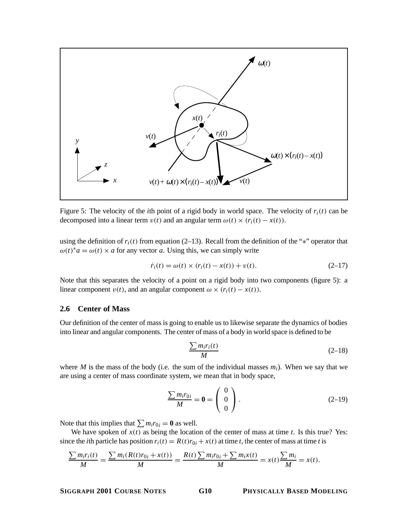

Figure 5: The velocity of the *i*th point of a rigid body in world space. The velocity of  $r_i(t)$  can be decomposed into a linear term  $v(t)$  and an angular term  $\omega(t) \times (r_i(t) - x(t))$ .

using the definition of  $r_i(t)$  from equation (2–13). Recall from the definition of the "\*" operator that  $\omega(t)^* a = \omega(t) \times a$  for any vector *a*. Using this, we can simply write

$$
\dot{r}_i(t) = \omega(t) \times (r_i(t) - x(t)) + v(t).
$$
 (2-17)

Note that this separates the velocity of a point on a rigid body into two components (figure 5): a linear component  $v(t)$ , and an angular component  $\omega \times (r_i(t) - x(t))$ .

#### **2.6 Center of Mass**

Our definition of the center of mass is going to enable us to likewise separate the dynamics of bodies into linear and angular components. The center of mass of a body in world space is defined to be

$$
\frac{\sum m_i r_i(t)}{M} \tag{2-18}
$$

where *M* is the mass of the body (i.e. the sum of the individual masses  $m_i$ ). When we say that we are using a center of mass coordinate system, we mean that in body space,

$$
\frac{\sum m_i r_{0i}}{M} = \mathbf{0} = \begin{pmatrix} 0 \\ 0 \\ 0 \end{pmatrix}.
$$
 (2-19)

Note that this implies that  $\sum m_i r_{0i} = 0$  as well.

We have spoken of  $x(t)$  as being the location of the center of mass at time  $t$ . Is this true? Yes: since the *i*th particle has position  $r_i(t) = R(t)r_{0i} + x(t)$  at time *t*, the center of mass at time *t* is

$$
\frac{\sum m_i r_i(t)}{M} = \frac{\sum m_i (R(t)r_{0i} + x(t))}{M} = \frac{R(t)\sum m_i r_{0i} + \sum m_i x(t)}{M} = x(t)\frac{\sum m_i}{M} = x(t).
$$

## **SIGGRAPH 2001 COURSE NOTES G10 PHYSICALLY BASED MODELING**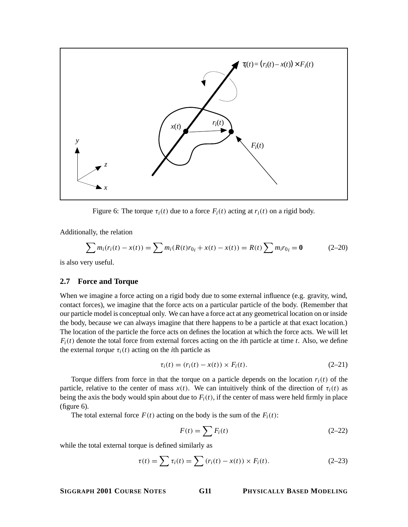

Figure 6: The torque  $\tau_i(t)$  due to a force  $F_i(t)$  acting at  $r_i(t)$  on a rigid body.

Additionally, the relation

$$
\sum m_i(r_i(t) - x(t)) = \sum m_i(R(t)r_{0i} + x(t) - x(t)) = R(t)\sum m_i r_{0i} = \mathbf{0}
$$
 (2-20)

is also very useful.

## **2.7 Force and Torque**

When we imagine a force acting on a rigid body due to some external influence (e.g. gravity, wind, contact forces), we imagine that the force acts on a particular particle of the body. (Remember that our particle model is conceptual only. We can have a force act at any geometrical location on or inside the body, because we can always imagine that there happens to be a particle at that exact location.) The location of the particle the force acts on defines the location at which the force acts. We will let  $F_i(t)$  denote the total force from external forces acting on the *i*th particle at time *t*. Also, we define the external *torque*  $\tau_i(t)$  acting on the *i*th particle as

$$
\tau_i(t) = (r_i(t) - x(t)) \times F_i(t). \tag{2-21}
$$

Torque differs from force in that the torque on a particle depends on the location  $r_i(t)$  of the particle, relative to the center of mass  $x(t)$ . We can intuitively think of the direction of  $\tau_i(t)$  as being the axis the body would spin about due to  $F_i(t)$ , if the center of mass were held firmly in place (figure 6).

The total external force  $F(t)$  acting on the body is the sum of the  $F_i(t)$ :

$$
F(t) = \sum F_i(t) \tag{2-22}
$$

while the total external torque is defined similarly as

$$
\tau(t) = \sum \tau_i(t) = \sum (r_i(t) - x(t)) \times F_i(t).
$$
 (2-23)

## **SIGGRAPH 2001 COURSE NOTES G11 PHYSICALLY BASED MODELING**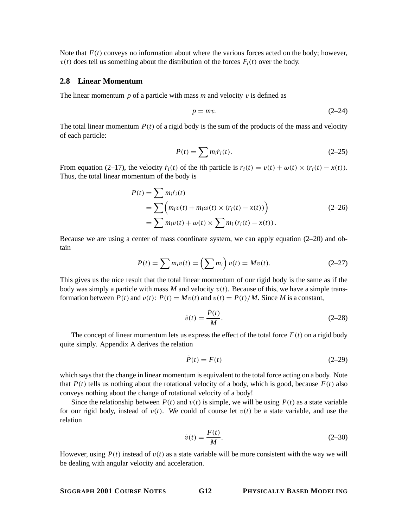Note that  $F(t)$  conveys no information about where the various forces acted on the body; however,  $\tau(t)$  does tell us something about the distribution of the forces  $F_i(t)$  over the body.

#### **2.8 Linear Momentum**

The linear momentum *p* of a particle with mass *m* and velocity v is defined as

$$
p = mv.\tag{2-24}
$$

The total linear momentum  $P(t)$  of a rigid body is the sum of the products of the mass and velocity of each particle:

$$
P(t) = \sum m_i \dot{r}_i(t). \tag{2-25}
$$

From equation (2–17), the velocity  $\dot{r}_i(t)$  of the *i*th particle is  $\dot{r}_i(t) = v(t) + \omega(t) \times (r_i(t) - x(t))$ . Thus, the total linear momentum of the body is

$$
P(t) = \sum m_i \dot{r}_i(t)
$$
  
= 
$$
\sum \left( m_i v(t) + m_i \omega(t) \times (r_i(t) - x(t)) \right)
$$
  
= 
$$
\sum m_i v(t) + \omega(t) \times \sum m_i (r_i(t) - x(t)).
$$
 (2-26)

Because we are using a center of mass coordinate system, we can apply equation (2–20) and obtain

$$
P(t) = \sum m_i v(t) = \left(\sum m_i\right) v(t) = Mv(t).
$$
 (2-27)

This gives us the nice result that the total linear momentum of our rigid body is the same as if the body was simply a particle with mass  $M$  and velocity  $v(t)$ . Because of this, we have a simple transformation between  $P(t)$  and  $v(t)$ :  $P(t) = Mv(t)$  and  $v(t) = P(t)/M$ . Since *M* is a constant,

$$
\dot{v}(t) = \frac{\dot{P}(t)}{M}.\tag{2-28}
$$

The concept of linear momentum lets us express the effect of the total force  $F(t)$  on a rigid body quite simply. Appendix A derives the relation

$$
\dot{P}(t) = F(t) \tag{2-29}
$$

which says that the change in linear momentum is equivalent to the total force acting on a body. Note that  $P(t)$  tells us nothing about the rotational velocity of a body, which is good, because  $F(t)$  also conveys nothing about the change of rotational velocity of a body!

Since the relationship between  $P(t)$  and  $v(t)$  is simple, we will be using  $P(t)$  as a state variable for our rigid body, instead of  $v(t)$ . We could of course let  $v(t)$  be a state variable, and use the relation

$$
\dot{v}(t) = \frac{F(t)}{M}.\tag{2-30}
$$

However, using  $P(t)$  instead of  $v(t)$  as a state variable will be more consistent with the way we will be dealing with angular velocity and acceleration.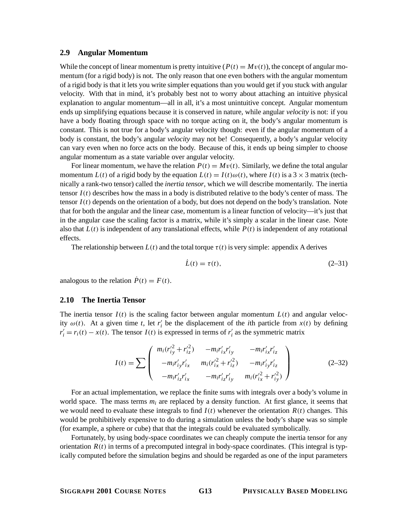#### **2.9 Angular Momentum**

While the concept of linear momentum is pretty intuitive  $(P(t) = Mv(t))$ , the concept of angular momentum (for a rigid body) is not. The only reason that one even bothers with the angular momentum of a rigid body is that it lets you write simpler equations than you would get if you stuck with angular velocity. With that in mind, it's probably best not to worry about attaching an intuitive physical explanation to angular momentum—all in all, it's a most unintuitive concept. Angular momentum ends up simplifying equations because it is conserved in nature, while angular *velocity* is not: if you have a body floating through space with no torque acting on it, the body's angular momentum is constant. This is not true for a body's angular velocity though: even if the angular momentum of a body is constant, the body's angular *velocity* may not be! Consequently, a body's angular velocity can vary even when no force acts on the body. Because of this, it ends up being simpler to choose angular momentum as a state variable over angular velocity.

For linear momentum, we have the relation  $P(t) = Mv(t)$ . Similarly, we define the total angular momentum *L*(*t*) of a rigid body by the equation  $L(t) = I(t)\omega(t)$ , where  $I(t)$  is a 3 × 3 matrix (technically a rank-two tensor) called the *inertia tensor*, which we will describe momentarily. The inertia tensor  $I(t)$  describes how the mass in a body is distributed relative to the body's center of mass. The tensor  $I(t)$  depends on the orientation of a body, but does not depend on the body's translation. Note that for both the angular and the linear case, momentum is a linear function of velocity—it's just that in the angular case the scaling factor is a matrix, while it's simply a scalar in the linear case. Note also that  $L(t)$  is independent of any translational effects, while  $P(t)$  is independent of any rotational effects.

The relationship between  $L(t)$  and the total torque  $\tau(t)$  is very simple: appendix A derives

$$
\dot{L}(t) = \tau(t),\tag{2-31}
$$

analogous to the relation  $\dot{P}(t) = F(t)$ .

#### **2.10 The Inertia Tensor**

The inertia tensor  $I(t)$  is the scaling factor between angular momentum  $L(t)$  and angular velocity  $\omega(t)$ . At a given time *t*, let  $r_i$  be the displacement of the *i*th particle from  $x(t)$  by defining  $r'_i = r_i(t) - x(t)$ . The tensor *I*(*t*) is expressed in terms of  $r'_i$  as the symmetric matrix

$$
I(t) = \sum \begin{pmatrix} m_i (r_{iy}^2 + r_{iz}^2) & -m_i r_{ix}^{\prime} r_{iy}^{\prime} & -m_i r_{ix}^{\prime} r_{iz}^{\prime} \\ -m_i r_{iy}^{\prime} r_{ix}^{\prime} & m_i (r_{ix}^{\prime 2} + r_{iz}^{\prime 2}) & -m_i r_{iy}^{\prime} r_{iz}^{\prime} \\ -m_i r_{iz}^{\prime} r_{ix}^{\prime} & -m_i r_{iz}^{\prime} r_{iy}^{\prime} & m_i (r_{ix}^{\prime 2} + r_{iy}^{\prime 2}) \end{pmatrix}
$$
(2-32)

For an actual implementation, we replace the finite sums with integrals over a body's volume in world space. The mass terms *mi* are replaced by a density function. At first glance, it seems that we would need to evaluate these integrals to find  $I(t)$  whenever the orientation  $R(t)$  changes. This would be prohibitively expensive to do during a simulation unless the body's shape was so simple (for example, a sphere or cube) that that the integrals could be evaluated symbolically.

Fortunately, by using body-space coordinates we can cheaply compute the inertia tensor for any orientation  $R(t)$  in terms of a precomputed integral in body-space coordinates. (This integral is typically computed before the simulation begins and should be regarded as one of the input parameters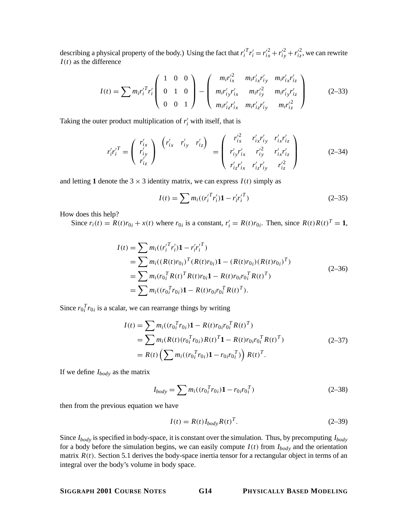describing a physical property of the body.) Using the fact that  $r_i'^T r_i' = r_{i_x}^2 + r_{i_y}^2 + r_{i_z}^2$ , we can rewrite *I*(*t*) as the difference

$$
I(t) = \sum m_i r_i^{\prime T} r_i^{\prime} \begin{pmatrix} 1 & 0 & 0 \\ 0 & 1 & 0 \\ 0 & 0 & 1 \end{pmatrix} - \begin{pmatrix} m_i r_{ix}^{\prime 2} & m_i r_{ix}^{\prime} r_{iy}^{\prime} & m_i r_{ix}^{\prime} r_{iz}^{\prime} \\ m_i r_{iy}^{\prime} r_{ix}^{\prime} & m_i r_{iy}^{\prime} r_{iz}^{\prime} & m_i r_{iz}^{\prime} r_{iz}^{\prime} \\ m_i r_{iz}^{\prime} r_{ix}^{\prime} & m_i r_{iz}^{\prime} r_{iy}^{\prime} & m_i r_{iz}^{\prime 2} \end{pmatrix}
$$
(2-33)

Taking the outer product multiplication of  $r_i$  with itself, that is

$$
r'_{i}r'^{T}_{i} = \begin{pmatrix} r'_{ix} \\ r'_{iy} \\ r'_{iz} \end{pmatrix} \begin{pmatrix} r'_{ix} & r'_{iy} & r'_{iz} \end{pmatrix} = \begin{pmatrix} r'^{2}_{ix} & r'_{ix}r'_{iy} & r'_{ix}r'_{iz} \\ r'_{iy}r'_{ix} & r'_{iy} & r'_{iz}r'_{iz} \\ r'_{iz}r'_{ix} & r'_{iz}r'_{iy} & r'_{iz}^2 \end{pmatrix}
$$
(2-34)

and letting 1 denote the  $3 \times 3$  identity matrix, we can express  $I(t)$  simply as

$$
I(t) = \sum m_i \left( \left( r_i^{\prime T} r_i^{\prime} \right) \mathbf{1} - r_i^{\prime} r_i^{\prime T} \right) \tag{2-35}
$$

How does this help?

Since  $r_i(t) = R(t)r_{0i} + x(t)$  where  $r_{0i}$  is a constant,  $r'_i = R(t)r_{0i}$ . Then, since  $R(t)R(t)^T = 1$ ,

$$
I(t) = \sum m_i ((r_i^T r_i') \mathbf{1} - r_i^r r_i^T)
$$
  
= 
$$
\sum m_i ((R(t)r_{0i})^T (R(t)r_{0i}) \mathbf{1} - (R(t)r_{0i}) (R(t)r_{0i})^T)
$$
  
= 
$$
\sum m_i (r_{0i}^T R(t)^T R(t)r_{0i} \mathbf{1} - R(t)r_{0i}r_{0i}^T R(t)^T)
$$
  
= 
$$
\sum m_i ((r_{0i}^T r_{0i}) \mathbf{1} - R(t)r_{0i}r_{0i}^T R(t)^T).
$$
 (2-36)

Since  $r_0_i^T r_0_i$  is a scalar, we can rearrange things by writing

$$
I(t) = \sum m_i ((r_{0i}^T r_{0i}) \mathbf{1} - R(t) r_{0i} r_{0i}^T R(t)^T)
$$
  
= 
$$
\sum m_i (R(t) (r_{0i}^T r_{0i}) R(t)^T \mathbf{1} - R(t) r_{0i} r_{0i}^T R(t)^T)
$$
  
= 
$$
R(t) \left( \sum m_i ((r_{0i}^T r_{0i}) \mathbf{1} - r_{0i} r_{0i}^T) \right) R(t)^T.
$$
 (2-37)

If we define *Ibody* as the matrix

$$
I_{body} = \sum m_i ((r_{0i}^T r_{0i}) \mathbf{1} - r_{0i} r_{0i}^T) \tag{2-38}
$$

then from the previous equation we have

$$
I(t) = R(t)I_{body}R(t)^{T}.
$$
 (2–39)

Since *Ibody* is specified in body-space, it is constant over the simulation. Thus, by precomputing *Ibody* for a body before the simulation begins, we can easily compute  $I(t)$  from  $I_{body}$  and the orientation matrix  $R(t)$ . Section 5.1 derives the body-space inertia tensor for a rectangular object in terms of an integral over the body's volume in body space.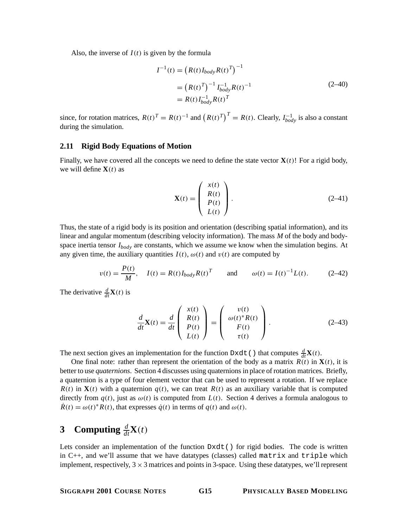Also, the inverse of  $I(t)$  is given by the formula

$$
I^{-1}(t) = (R(t)I_{body}R(t)^{T})^{-1}
$$
  
=  $(R(t)^{T})^{-1} I_{body}^{-1} R(t)^{-1}$   
=  $R(t)I_{body}^{-1} R(t)^{T}$  (2-40)

since, for rotation matrices,  $R(t)^{T} = R(t)^{-1}$  and  $(R(t)^{T})^{T} = R(t)$ . Clearly,  $I_{body}^{-1}$  is also a constant during the simulation.

## **2.11 Rigid Body Equations of Motion**

Finally, we have covered all the concepts we need to define the state vector **! For a rigid body,** we will define  $\mathbf{X}(t)$  as

$$
\mathbf{X}(t) = \begin{pmatrix} x(t) \\ R(t) \\ P(t) \\ L(t) \end{pmatrix}.
$$
 (2-41)

Thus, the state of a rigid body is its position and orientation (describing spatial information), and its linear and angular momentum (describing velocity information). The mass *M* of the body and bodyspace inertia tensor *Ibody* are constants, which we assume we know when the simulation begins. At any given time, the auxiliary quantities  $I(t)$ ,  $\omega(t)$  and  $v(t)$  are computed by

$$
v(t) = \frac{P(t)}{M}, \quad I(t) = R(t)I_{body}R(t)^{T} \quad \text{and} \quad \omega(t) = I(t)^{-1}L(t). \quad (2-42)
$$

The derivative  $\frac{d}{dt}\mathbf{X}(t)$  is

$$
\frac{d}{dt}\mathbf{X}(t) = \frac{d}{dt}\begin{pmatrix} x(t) \\ R(t) \\ P(t) \\ L(t) \end{pmatrix} = \begin{pmatrix} v(t) \\ \omega(t)^* R(t) \\ F(t) \\ \tau(t) \end{pmatrix}.
$$
\n(2-43)

The next section gives an implementation for the function  $D \times dt$  () that computes  $\frac{d}{dt}X(t)$ .

One final note: rather than represent the orientation of the body as a matrix  $R(t)$  in  $X(t)$ , it is better to use *quaternions*. Section 4 discusses using quaternions in place of rotation matrices. Briefly, a quaternion is a type of four element vector that can be used to represent a rotation. If we replace  $R(t)$  in  $X(t)$  with a quaternion  $q(t)$ , we can treat  $R(t)$  as an auxiliary variable that is computed directly from  $q(t)$ , just as  $\omega(t)$  is computed from  $L(t)$ . Section 4 derives a formula analogous to  $\dot{R}(t) = \omega(t)^* R(t)$ , that expresses  $\dot{q}(t)$  in terms of  $q(t)$  and  $\omega(t)$ .

# **3** Computing  $\frac{d}{dt}\mathbf{X}(t)$

Lets consider an implementation of the function  $Dxdt$  () for rigid bodies. The code is written in  $C_{++}$ , and we'll assume that we have datatypes (classes) called matrix and triple which implement, respectively,  $3 \times 3$  matrices and points in 3-space. Using these datatypes, we'll represent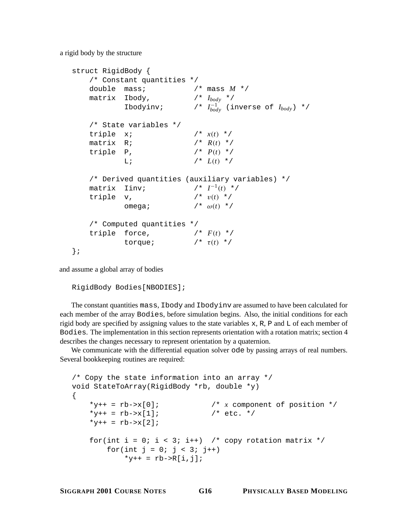a rigid body by the structure

```
struct RigidBody {
   /* Constant quantities */
   double mass; /* mass M */
   matrix Ibody, /* Ibody */
          Ibodyinv; /* I−1
body (inverse of Ibody) */
   /* State variables */
   triple x; /* x(t) */
   matrix R; / /* R(t) */
   triple P, / * P(t) * /L; \qquad \qquad / * L(t) * //* Derived quantities (auxiliary variables) */
   matrix Iinv; /* I−1(t) */
   triple v, / * v(t) * /omega; /* \omega(t) */
   /* Computed quantities */
   triple force, / * F(t) * /torque; /* τ(t) */
};
```
and assume a global array of bodies

```
RigidBody Bodies[NBODIES];
```
The constant quantities mass, Ibody and Ibodyinv are assumed to have been calculated for each member of the array Bodies, before simulation begins. Also, the initial conditions for each rigid body are specified by assigning values to the state variables x, R, P and L of each member of Bodies. The implementation in this section represents orientation with a rotation matrix; section 4 describes the changes necessary to represent orientation by a quaternion.

We communicate with the differential equation solver ode by passing arrays of real numbers. Several bookkeeping routines are required:

```
/* Copy the state information into an array */
void StateToArray(RigidBody *rb, double *y)
{
    *y++ = rb \rightarrow x[0]; /* x component of position */
    *y++ = rb \rightarrow x[1]; /* etc. */
    *_{y++} = rb->x[2];for(int i = 0; i < 3; i++) /* copy rotation matrix */
        for(int j = 0; j < 3; j++)*y++ = rb \rightarrow R[i,j];
```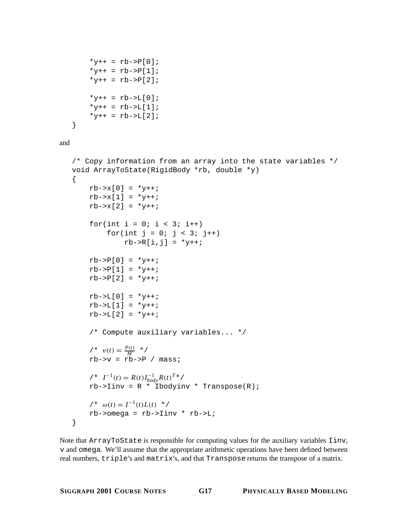```
*y++ = rb->P[0];*y++ = rb->P[1];*y++ = rb->P[2];*_{y++} = rb->L[0];*_{y++} = rb->L[1];*y++ = rb->L[2];}
```

```
and
```

```
/* Copy information from an array into the state variables */
void ArrayToState(RigidBody *rb, double *y)
{
     rb \rightarrow x[0] = *y++;rb \rightarrow x[1] = *y++;rb \rightarrow x[2] = *y++;for(int i = 0; i < 3; i++)for(int j = 0; j < 3; j++)rb->R[i,j] = *y++;rb \rightarrow P[0] = *y++;rb \rightarrow P[1] = *y++;rb \rightarrow P[2] = *y++;rb->L[0] = *y++;rb->L[1] = *y++;rb->L[2] = *y++;/* Compute auxiliary variables... */
     \ell^* v(t) = \frac{P(t)}{M} */
     rb \rightarrow v = rb \rightarrow P / mass;
     / * I^{-1}(t) = R(t)I_{body}^{-1}R(t)^{T*}/rb\rightarrowIinv = R * Ibodyinv * Transpose(R);
     / * ω(t) = I^{-1}(t)L(t) */
     rb->omega = rb->Iinv * rb->L;
}
```
Note that ArrayToState is responsible for computing values for the auxiliary variables Iinv, v and omega. We'll assume that the appropriate arithmetic operations have been defined between real numbers, triple's and matrix's, and that Transpose returns the transpose of a matrix.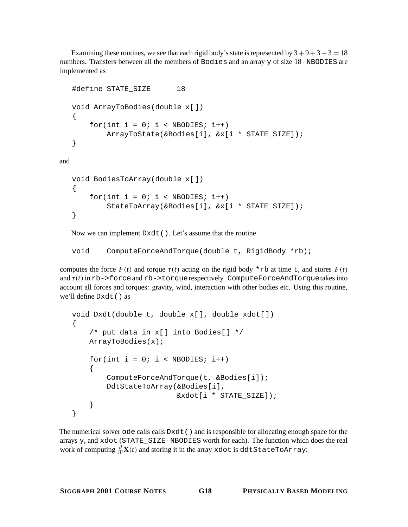Examining these routines, we see that each rigid body's state is represented by  $3+9+3+3=18$ numbers. Transfers between all the members of Bodies and an array y of size 18 · NBODIES are implemented as

```
#define STATE_SIZE 18
  void ArrayToBodies(double x[])
   {
      for(int i = 0; i < NBODIES; i++)ArrayToState(&Bodies[i], &x[i * STATE_SIZE]);
   }
and
```

```
void BodiesToArray(double x[])
\{for(int i = 0; i < NBODIES; i++)StateToArray(&Bodies[i], &x[i * STATE_SIZE]);
}
```
Now we can implement Dxdt(). Let's assume that the routine

```
void ComputeForceAndTorque(double t, RigidBody *rb);
```
computes the force  $F(t)$  and torque  $\tau(t)$  acting on the rigid body \*rb at time t, and stores  $F(t)$ and  $\tau(t)$  in rb->force and rb->torque respectively. ComputeForceAndTorquetakes into account all forces and torques: gravity, wind, interaction with other bodies etc. Using this routine, we'll define Dxdt() as

```
void Dxdt(double t, double x[], double xdot[])
\{/* put data in x[] into Bodies[] */
    ArrayToBodies(x);
    for(int i = 0; i < NBODIES; i++){
        ComputeForceAndTorque(t, &Bodies[i]);
        DdtStateToArray(&Bodies[i],
                        &xdot[i * STATE_SIZE]);
    }
}
```
The numerical solver ode calls calls Dxdt() and is responsible for allocating enough space for the arrays y, and xdot (STATE\_SIZE · NBODIES worth for each). The function which does the real work of computing  $\frac{d}{dt}\mathbf{X}(t)$  and storing it in the array xdot is ddtStateToArray: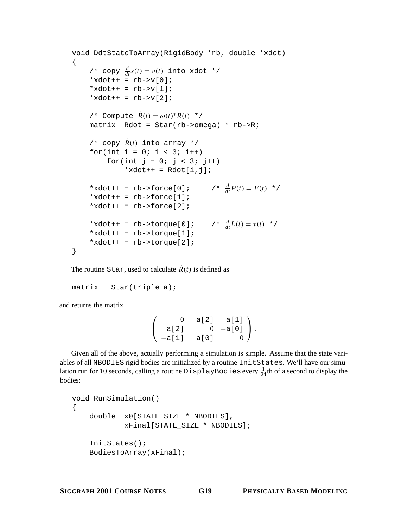```
void DdtStateToArray(RigidBody *rb, double *xdot)
{
     /* copy \frac{d}{dt}x(t) = v(t) into xdot */
    *xdot++ = rb \rightarrow v[0];
    *xdot++ = rb->v[1];*xdot++ = rb \rightarrow v[2];/* Compute R˙(t) = ω(t)∗R(t) */
    matrix Rdot = Star(rb->omega) * rb->R;/* copy \dot{R}(t) into array */
    for(int i = 0; i < 3; i++)for(int j = 0; j < 3; j++)*xdot++ = Rdot[i,j];* xdot++ = rb - > force[0];\frac{d}{dt}P(t) = F(t) **xdot++ = rb->force[1];*xdot++ = rb->force[2];
    *xdot++ = rb->torque[0];
                                    \prime \star \frac{d}{dt}L(t) = \tau(t) \star \prime*xdot++ = rb->torque[1];
    *xdot++ = rb->torque[2];
}
```
The routine Star, used to calculate  $\dot{R}(t)$  is defined as

```
matrix Star(triple a);
```
and returns the matrix

 $\sqrt{ }$  $\mathbf{I}$ 0 −a[2] a[1] a[2] 0 −a[0] −a[1] a[0] 0  $\setminus$  $\cdot$ 

Given all of the above, actually performing a simulation is simple. Assume that the state variables of all NBODIES rigid bodies are initialized by a routine InitStates. We'll have our simulation run for 10 seconds, calling a routine  $\text{Displays}$   $\text{DiapBayBodies}$  every  $\frac{1}{24}$ th of a second to display the bodies:

```
void RunSimulation()
{
    double x0[STATE_SIZE * NBODIES],
            xFinal[STATE_SIZE * NBODIES];
    InitStates();
    BodiesToArray(xFinal);
```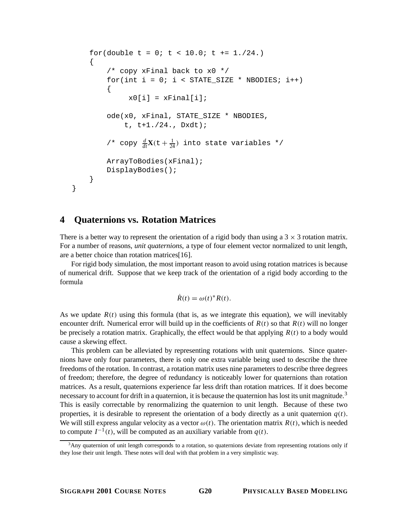```
for(double t = 0; t < 10.0; t = 1./24.)
{
    /* copy xFinal back to x0 */for(int i = 0; i < STATE_SIZE * NBODIES; i++)
    {
          x0[i] = xFinal[i];ode(x0, xFinal, STATE_SIZE * NBODIES,
         t, t+1./24., Dxdt);
    /* copy \frac{d}{dt}\mathbf{X}(t + \frac{1}{24}) into state variables */
    ArrayToBodies(xFinal);
    DisplayBodies();
}
```
## **4 Quaternions vs. Rotation Matrices**

}

There is a better way to represent the orientation of a rigid body than using a  $3 \times 3$  rotation matrix. For a number of reasons, *unit quaternions*, a type of four element vector normalized to unit length, are a better choice than rotation matrices[16].

For rigid body simulation, the most important reason to avoid using rotation matrices is because of numerical drift. Suppose that we keep track of the orientation of a rigid body according to the formula

$$
\dot{R}(t) = \omega(t)^* R(t).
$$

As we update  $R(t)$  using this formula (that is, as we integrate this equation), we will inevitably encounter drift. Numerical error will build up in the coefficients of  $R(t)$  so that  $R(t)$  will no longer be precisely a rotation matrix. Graphically, the effect would be that applying  $R(t)$  to a body would cause a skewing effect.

This problem can be alleviated by representing rotations with unit quaternions. Since quaternions have only four parameters, there is only one extra variable being used to describe the three freedoms of the rotation. In contrast, a rotation matrix uses nine parameters to describe three degrees of freedom; therefore, the degree of redundancy is noticeably lower for quaternions than rotation matrices. As a result, quaternions experience far less drift than rotation matrices. If it does become necessary to account for drift in a quaternion, it is because the quaternion has lost its unit magnitude.<sup>3</sup> This is easily correctable by renormalizing the quaternion to unit length. Because of these two properties, it is desirable to represent the orientation of a body directly as a unit quaternion  $q(t)$ . We will still express angular velocity as a vector  $\omega(t)$ . The orientation matrix  $R(t)$ , which is needed to compute  $I^{-1}(t)$ , will be computed as an auxiliary variable from  $q(t)$ .

<sup>&</sup>lt;sup>3</sup>Any quaternion of unit length corresponds to a rotation, so quaternions deviate from representing rotations only if they lose their unit length. These notes will deal with that problem in a very simplistic way.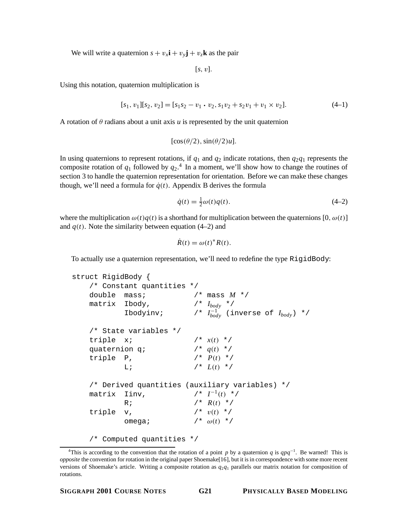We will write a quaternion  $s + v_x$ **i** +  $v_y$ **j** +  $v_z$ **k** as the pair

 $[s, v]$ .

Using this notation, quaternion multiplication is

$$
[s_1, v_1][s_2, v_2] = [s_1s_2 - v_1 \cdot v_2, s_1v_2 + s_2v_1 + v_1 \times v_2]. \tag{4-1}
$$

A rotation of  $\theta$  radians about a unit axis *u* is represented by the unit quaternion

$$
[\cos(\theta/2), \sin(\theta/2)u].
$$

In using quaternions to represent rotations, if  $q_1$  and  $q_2$  indicate rotations, then  $q_2q_1$  represents the composite rotation of  $q_1$  followed by  $q_2$ <sup>4</sup>. In a moment, we'll show how to change the routines of section 3 to handle the quaternion representation for orientation. Before we can make these changes though, we'll need a formula for  $\dot{q}(t)$ . Appendix B derives the formula

$$
\dot{q}(t) = \frac{1}{2}\omega(t)q(t). \tag{4-2}
$$

where the multiplication  $\omega(t)q(t)$  is a shorthand for multiplication between the quaternions [0,  $\omega(t)$ ] and  $q(t)$ . Note the similarity between equation (4–2) and

$$
R(t) = \omega(t)^* R(t).
$$

To actually use a quaternion representation, we'll need to redefine the type RigidBody:

```
struct RigidBody {
   /* Constant quantities */
   double mass; /* mass M */
   matrix Ibody, /* Ibody */
          Ibodyinv; /* I−1
body (inverse of Ibody) */
   /* State variables */
   triple x; /* x(t) */
   quaternion q; / * q(t) * /triple P, / * P(t) * /L; \qquad \qquad /* L(t) */
   /* Derived quantities (auxiliary variables) */
   matrix Iinv, /* I^{-1}(t) */
          R; \qquad \qquad / * R(t) * /triple v, / * v(t) * /omega; /* \omega(t) */
   /* Computed quantities */
```
<sup>&</sup>lt;sup>4</sup>This is according to the convention that the rotation of a point *p* by a quaternion *q* is  $qpq^{-1}$ . Be warned! This is *opposite* the convention for rotation in the original paper Shoemake[16], but it is in correspondence with some more recent versions of Shoemake's article. Writing a composite rotation as *q*2*q*<sup>1</sup> parallels our matrix notation for composition of rotations.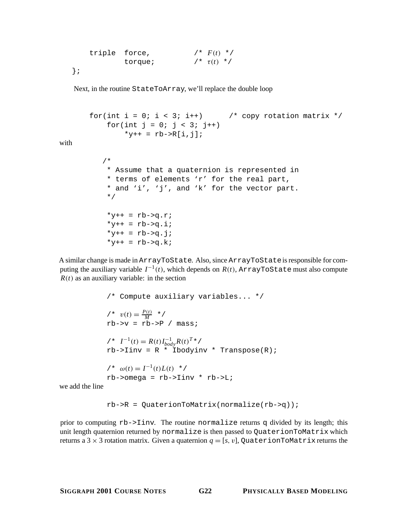triple force,  $/ * F(t) * /$ torque;  $\qquad \qquad / * \tau(t) * /$ };

Next, in the routine StateToArray, we'll replace the double loop

```
for(int i = 0; i < 3; i++) /* copy rotation matrix */
    for(int j = 0; j < 3; j++)*_{y++} = rb->R[i,j];/*
    * Assume that a quaternion is represented in
    * terms of elements 'r' for the real part,
    * and 'i', 'j', and 'k' for the vector part.
    */
    *y++ = rb->q.r;*_{y++} = rb \rightarrow qi.i*y++ = rb->q, j;*y++ = rb->q.k;
```
A similar change is made in ArrayToState. Also, since ArrayToStateis responsible for computing the auxiliary variable  $I^{-1}(t)$ , which depends on  $R(t)$ , ArrayToState must also compute  $R(t)$  as an auxiliary variable: in the section

```
/* Compute auxiliary variables... */
\ell^* v(t) = \frac{P(t)}{M} */
rb \rightarrow v = rb \rightarrow P / mass;
/ * I^{-1}(t) = R(t)I_{body}^{-1}R(t)^{T*}/rb\rightarrowIinv = R * Ibodyinv * Transpose(R);
/ * ω(t) = I^{-1}(t)L(t) * /
rb->omega = rb->\lim v * rb->\lim
```
we add the line

with

 $rb$ ->R = QuaterionToMatrix(normalize(rb->q));

prior to computing rb->Iinv. The routine normalize returns q divided by its length; this unit length quaternion returned by normalize is then passed to QuaterionToMatrix which returns a 3  $\times$  3 rotation matrix. Given a quaternion  $q = [s, v]$ , QuaterionToMatrix returns the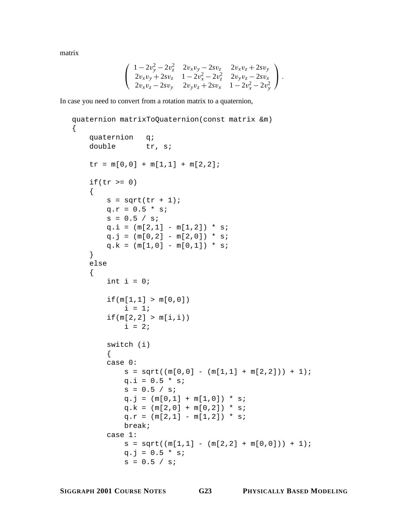matrix

{

$$
\left(\begin{array}{cc}1-2v_y^2-2v_z^2 & 2v_xv_y-2sv_z & 2v_xv_z+2sv_y\\2v_xv_y+2sv_z & 1-2v_x^2-2v_z^2 & 2v_yv_z-2sv_x\\2v_xv_z-2sv_y & 2v_yv_z+2sv_x & 1-2v_x^2-2v_y^2\end{array}\right).
$$

In case you need to convert from a rotation matrix to a quaternion,

```
quaternion matrixToQuaternion(const matrix &m)
   quaternion q;
   double tr, s;
   tr = m[0,0] + m[1,1] + m[2,2];if(tr \ge 0){
       s = sqrt(tr + 1);q.r = 0.5 * sis = 0.5 / siq.i = (m[2,1] - m[1,2]) * siq.j = (m[0,2] - m[2,0]) * siq.k = (m[1,0] - m[0,1]) * s;
    }
   else
    \{int i = 0;
        if(m[1,1] > m[0,0])i = 1;if(m[2,2] > m[i,i))i = 2iswitch (i)
        {
       case 0:
           s = sqrt((m[0,0] - (m[1,1] + m[2,2])) + 1);q.i = 0.5 * sis = 0.5 / siq.j = (m[0,1] + m[1,0]) * siq.k = (m[2,0] + m[0,2]) * s;q.r = (m[2,1] - m[1,2]) * s;
           break;
       case 1:
           s = sqrt((m[1,1] - (m[2,2] + m[0,0])) + 1);q.j = 0.5 * sis = 0.5 / si
```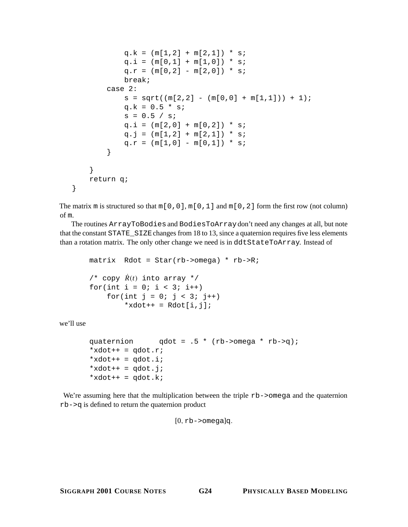```
q.k = (m[1,2] + m[2,1]) * s;
            q.i = (m[0,1] + m[1,0]) * s;
            q.r = (m[0,2] - m[2,0]) * s;
            break;
        case 2:
            s = sqrt((m[2,2] - (m[0,0] + m[1,1])) + 1);q.k = 0.5 * sis = 0.5 / siq.i = (m[2,0] + m[0,2]) * siq. j = (m[1,2] + m[2,1]) * s;q.r = (m[1,0] - m[0,1]) * s;}
    }
   return q;
}
```
The matrix m is structured so that  $m[0,0], m[0,1]$  and  $m[0,2]$  form the first row (not column) of m.

The routines ArrayToBodies and BodiesToArraydon't need any changes at all, but note that the constant STATE\_SIZEchanges from 18 to 13, since a quaternion requires five less elements than a rotation matrix. The only other change we need is in ddtStateToArray. Instead of

```
matrix Rdot = Star(rb->omega) * rb->R;
/* copy \dot{R}(t) into array */
for(int i = 0; i < 3; i++)for(int j = 0; j < 3; j++)*xdot++ = Rdot[i,j];
```
we'll use

```
quaternion qdot = .5 * (rb->omega * rb->q);
*xdot++ = qdot.r;
*xdot++ = qdot.i;*xdot++ = qdot.ji*xdot++ = qdot.K;
```
We're assuming here that the multiplication between the triple  $rb$ ->omega and the quaternion rb->q is defined to return the quaternion product

 $[0,$  rb->omega]q.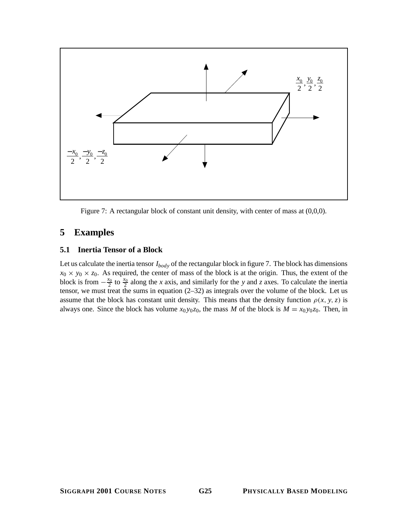

Figure 7: A rectangular block of constant unit density, with center of mass at  $(0,0,0)$ .

## **5 Examples**

## **5.1 Inertia Tensor of a Block**

Let us calculate the inertia tensor *Ibody* of the rectangular block in figure 7. The block has dimensions  $x_0 \times y_0 \times z_0$ . As required, the center of mass of the block is at the origin. Thus, the extent of the block is from  $-\frac{x_0}{2}$  to  $\frac{x_0}{2}$  along the *x* axis, and similarly for the *y* and *z* axes. To calculate the inertia tensor, we must treat the sums in equation (2–32) as integrals over the volume of the block. Let us assume that the block has constant unit density. This means that the density function  $\rho(x, y, z)$  is always one. Since the block has volume  $x_0 y_0 z_0$ , the mass *M* of the block is  $M = x_0 y_0 z_0$ . Then, in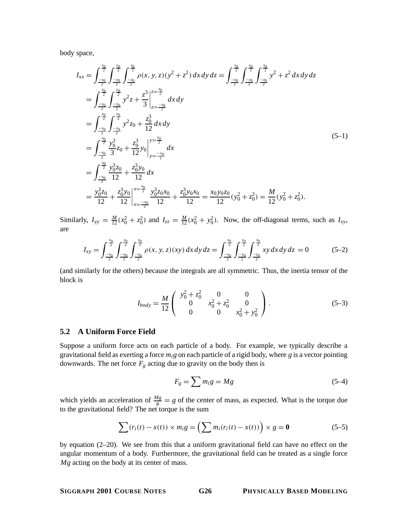body space,

$$
I_{xx} = \int_{-\frac{x_0}{2}}^{\frac{x_0}{2}} \int_{-\frac{x_0}{2}}^{\frac{x_0}{2}} \int_{-\frac{x_0}{2}}^{\frac{x_0}{2}} \rho(x, y, z)(y^2 + z^2) dx dy dz = \int_{-\frac{x_0}{2}}^{\frac{x_0}{2}} \int_{-\frac{x_0}{2}}^{\frac{x_0}{2}} \int_{-\frac{x_0}{2}}^{\frac{x_0}{2}} y^2 + z^2 dx dy dz
$$
  
\n
$$
= \int_{-\frac{x_0}{2}}^{\frac{x_0}{2}} \int_{-\frac{x_0}{2}}^{\frac{x_0}{2}} y^2 z + \frac{z^3}{3} \Big|_{z=-\frac{x_0}{2}}^{z=\frac{x_0}{2}} dx dy
$$
  
\n
$$
= \int_{-\frac{x_0}{2}}^{\frac{x_0}{2}} \int_{-\frac{x_0}{2}}^{\frac{x_0}{2}} y^2 z_0 + \frac{z_0^3}{12} dx dy
$$
  
\n
$$
= \int_{-\frac{x_0}{2}}^{\frac{x_0}{2}} \frac{y_0^3 z_0}{3} + \frac{z_0^3 y_0}{12} y_0 \Big|_{y=\frac{-y_0}{2}}^{y=\frac{x_0}{2}} dx
$$
  
\n
$$
= \int_{-\frac{x_0}{2}}^{\frac{x_0}{2}} \frac{y_0^3 z_0}{12} + \frac{z_0^3 y_0}{12} dx
$$
  
\n
$$
= \frac{y_0^3 z_0}{12} + \frac{z_0^3 y_0}{12} \Big|_{x=\frac{-x_0}{2}}^{x=\frac{x_0}{2}} \frac{y_0^3 z_0 x_0}{12} + \frac{z_0^3 y_0 x_0}{12} = \frac{x_0 y_0 z_0}{12} (y_0^2 + z_0^2) = \frac{M}{12} (y_0^2 + z_0^2).
$$
  
\n(5-1)

Similarly,  $I_{yy} = \frac{M}{12}(x_0^2 + z_0^2)$  and  $I_{zz} = \frac{M}{12}(x_0^2 + y_0^2)$ . Now, the off-diagonal terms, such as  $I_{xy}$ , are

$$
I_{xy} = \int_{\frac{-x_0}{2}}^{\frac{x_0}{2}} \int_{\frac{-y_0}{2}}^{\frac{x_0}{2}} \int_{\frac{-z_0}{2}}^{\frac{z_0}{2}} \rho(x, y, z)(xy) dx dy dz = \int_{\frac{-x_0}{2}}^{\frac{x_0}{2}} \int_{\frac{-y_0}{2}}^{\frac{y_0}{2}} \int_{\frac{-z_0}{2}}^{\frac{z_0}{2}} xy dx dy dz = 0
$$
 (5-2)

(and similarly for the others) because the integrals are all symmetric. Thus, the inertia tensor of the block is

$$
I_{body} = \frac{M}{12} \begin{pmatrix} y_0^2 + z_0^2 & 0 & 0\\ 0 & x_0^2 + z_0^2 & 0\\ 0 & 0 & x_0^2 + y_0^2 \end{pmatrix} . \tag{5-3}
$$

## **5.2 A Uniform Force Field**

Suppose a uniform force acts on each particle of a body. For example, we typically describe a gravitational field as exerting a force *mig* on each particle of a rigid body, where *g* is a vector pointing downwards. The net force  $F_g$  acting due to gravity on the body then is

$$
F_g = \sum m_i g = Mg \tag{5-4}
$$

which yields an acceleration of  $\frac{Mg}{g} = g$  of the center of mass, as expected. What is the torque due to the gravitational field? The net torque is the sum

$$
\sum (r_i(t) - x(t)) \times m_i g = \left(\sum m_i(r_i(t) - x(t))\right) \times g = \mathbf{0}
$$
\n(5-5)

by equation (2–20). We see from this that a uniform gravitational field can have no effect on the angular momentum of a body. Furthermore, the gravitational field can be treated as a single force *Mg* acting on the body at its center of mass.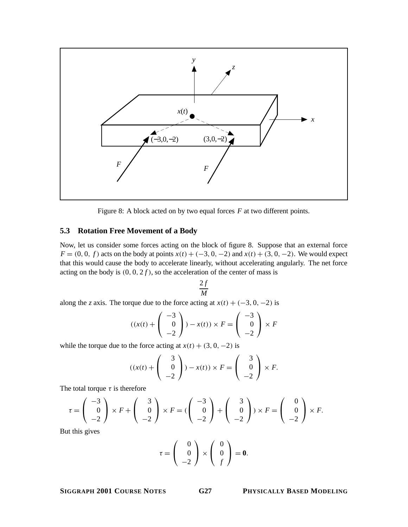

Figure 8: A block acted on by two equal forces *F* at two different points.

## **5.3 Rotation Free Movement of a Body**

Now, let us consider some forces acting on the block of figure 8. Suppose that an external force *F* = (0, 0, *f*) acts on the body at points *x*(*t*) + (−3, 0, −2) and *x*(*t*) + (3, 0, −2). We would expect that this would cause the body to accelerate linearly, without accelerating angularly. The net force acting on the body is  $(0, 0, 2f)$ , so the acceleration of the center of mass is

$$
\frac{2f}{M}
$$

along the *z* axis. The torque due to the force acting at  $x(t) + (-3, 0, -2)$  is

$$
((x(t) + \begin{pmatrix} -3 \\ 0 \\ -2 \end{pmatrix}) - x(t)) \times F = \begin{pmatrix} -3 \\ 0 \\ -2 \end{pmatrix} \times F
$$

while the torque due to the force acting at  $x(t) + (3, 0, -2)$  is

$$
((x(t) + \begin{pmatrix} 3 \\ 0 \\ -2 \end{pmatrix}) - x(t)) \times F = \begin{pmatrix} 3 \\ 0 \\ -2 \end{pmatrix} \times F.
$$

The total torque  $\tau$  is therefore

$$
\tau = \begin{pmatrix} -3 \\ 0 \\ -2 \end{pmatrix} \times F + \begin{pmatrix} 3 \\ 0 \\ -2 \end{pmatrix} \times F = \begin{pmatrix} -3 \\ 0 \\ -2 \end{pmatrix} + \begin{pmatrix} 3 \\ 0 \\ -2 \end{pmatrix} \times F = \begin{pmatrix} 0 \\ 0 \\ -2 \end{pmatrix} \times F.
$$

But this gives

$$
\tau = \left(\begin{array}{c} 0 \\ 0 \\ -2 \end{array}\right) \times \left(\begin{array}{c} 0 \\ 0 \\ f \end{array}\right) = \mathbf{0}.
$$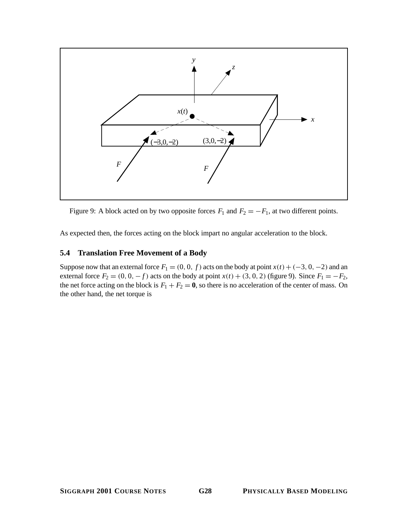

Figure 9: A block acted on by two opposite forces  $F_1$  and  $F_2 = -F_1$ , at two different points.

As expected then, the forces acting on the block impart no angular acceleration to the block.

## **5.4 Translation Free Movement of a Body**

Suppose now that an external force  $F_1 = (0, 0, f)$  acts on the body at point  $x(t) + (-3, 0, -2)$  and an external force  $F_2 = (0, 0, -f)$  acts on the body at point  $x(t) + (3, 0, 2)$  (figure 9). Since  $F_1 = -F_2$ , the net force acting on the block is  $F_1 + F_2 = 0$ , so there is no acceleration of the center of mass. On the other hand, the net torque is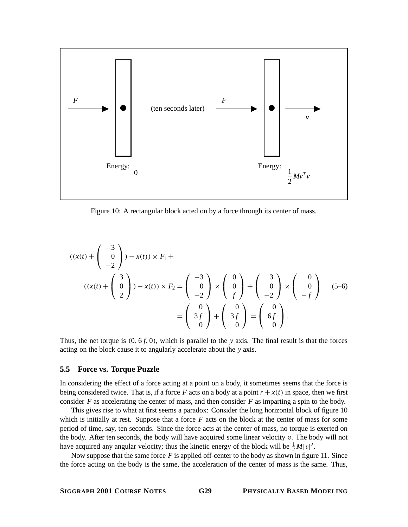

Figure 10: A rectangular block acted on by a force through its center of mass.

$$
((x(t) + \begin{pmatrix} -3 \\ 0 \\ -2 \end{pmatrix}) - x(t)) \times F_1 +
$$
  

$$
((x(t) + \begin{pmatrix} 3 \\ 0 \\ 2 \end{pmatrix}) - x(t)) \times F_2 = \begin{pmatrix} -3 \\ 0 \\ -2 \end{pmatrix} \times \begin{pmatrix} 0 \\ 0 \\ f \end{pmatrix} + \begin{pmatrix} 3 \\ 0 \\ -2 \end{pmatrix} \times \begin{pmatrix} 0 \\ 0 \\ -f \end{pmatrix}
$$
  

$$
= \begin{pmatrix} 0 \\ 3f \\ 0 \end{pmatrix} + \begin{pmatrix} 0 \\ 3f \\ 0 \end{pmatrix} = \begin{pmatrix} 0 \\ 6f \\ 0 \end{pmatrix}.
$$
 (5-6)

Thus, the net torque is  $(0, 6f, 0)$ , which is parallel to the *y* axis. The final result is that the forces acting on the block cause it to angularly accelerate about the *y* axis.

## **5.5 Force vs. Torque Puzzle**

In considering the effect of a force acting at a point on a body, it sometimes seems that the force is being considered twice. That is, if a force F acts on a body at a point  $r + x(t)$  in space, then we first consider  $F$  as accelerating the center of mass, and then consider  $F$  as imparting a spin to the body.

This gives rise to what at first seems a paradox: Consider the long horizontal block of figure 10 which is initially at rest. Suppose that a force  $F$  acts on the block at the center of mass for some period of time, say, ten seconds. Since the force acts at the center of mass, no torque is exerted on the body. After ten seconds, the body will have acquired some linear velocity  $v$ . The body will not have acquired any angular velocity; thus the kinetic energy of the block will be  $\frac{1}{2}M|v|^2$ .

Now suppose that the same force  $F$  is applied off-center to the body as shown in figure 11. Since the force acting on the body is the same, the acceleration of the center of mass is the same. Thus,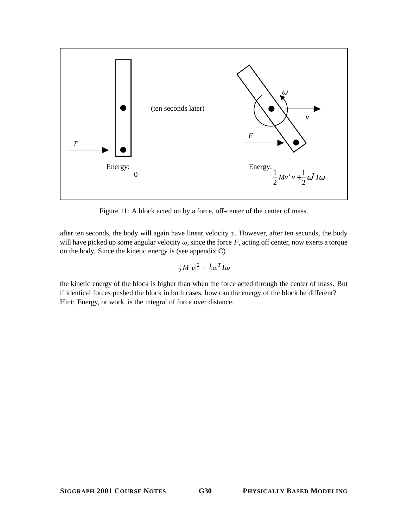

Figure 11: A block acted on by a force, off-center of the center of mass.

after ten seconds, the body will again have linear velocity  $v$ . However, after ten seconds, the body will have picked up some angular velocity  $\omega$ , since the force *F*, acting off center, now exerts a torque on the body. Since the kinetic energy is (see appendix C)

$$
\tfrac{1}{2}M|v|^2+\tfrac{1}{2}\omega^T I\omega
$$

the kinetic energy of the block is higher than when the force acted through the center of mass. But if identical forces pushed the block in both cases, how can the energy of the block be different? Hint: Energy, or work, is the integral of force over distance.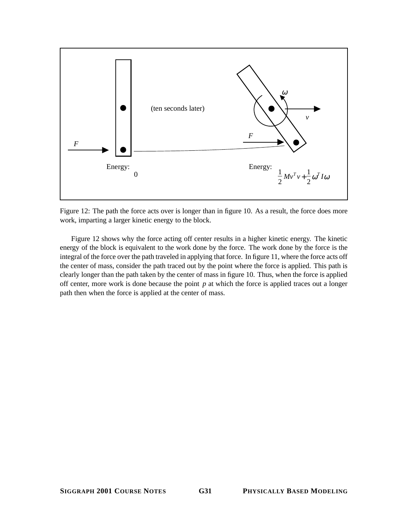

Figure 12: The path the force acts over is longer than in figure 10. As a result, the force does more work, imparting a larger kinetic energy to the block.

Figure 12 shows why the force acting off center results in a higher kinetic energy. The kinetic energy of the block is equivalent to the work done by the force. The work done by the force is the integral of the force over the path traveled in applying that force. In figure 11, where the force acts off the center of mass, consider the path traced out by the point where the force is applied. This path is clearly longer than the path taken by the center of mass in figure 10. Thus, when the force is applied off center, more work is done because the point *p* at which the force is applied traces out a longer path then when the force is applied at the center of mass.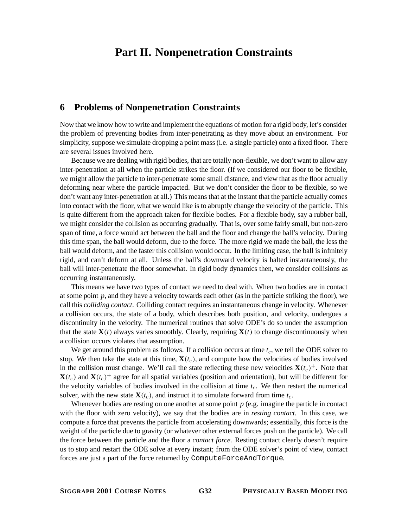# **Part II. Nonpenetration Constraints**

## **6 Problems of Nonpenetration Constraints**

Now that we know how to write and implement the equations of motion for a rigid body, let's consider the problem of preventing bodies from inter-penetrating as they move about an environment. For simplicity, suppose we simulate dropping a point mass (i.e. a single particle) onto a fixed floor. There are several issues involved here.

Because we are dealing with rigid bodies, that are totally non-flexible, we don't want to allow any inter-penetration at all when the particle strikes the floor. (If we considered our floor to be flexible, we might allow the particle to inter-penetrate some small distance, and view that as the floor actually deforming near where the particle impacted. But we don't consider the floor to be flexible, so we don't want any inter-penetration at all.) This means that at the instant that the particle actually comes into contact with the floor, what we would like is to abruptly change the velocity of the particle. This is quite different from the approach taken for flexible bodies. For a flexible body, say a rubber ball, we might consider the collision as occurring gradually. That is, over some fairly small, but non-zero span of time, a force would act between the ball and the floor and change the ball's velocity. During this time span, the ball would deform, due to the force. The more rigid we made the ball, the less the ball would deform, and the faster this collision would occur. In the limiting case, the ball is infinitely rigid, and can't deform at all. Unless the ball's downward velocity is halted instantaneously, the ball will inter-penetrate the floor somewhat. In rigid body dynamics then, we consider collisions as occurring instantaneously.

This means we have two types of contact we need to deal with. When two bodies are in contact at some point  $p$ , and they have a velocity towards each other (as in the particle striking the floor), we call this *colliding contact*. Colliding contact requires an instantaneous change in velocity. Whenever a collision occurs, the state of a body, which describes both position, and velocity, undergoes a discontinuity in the velocity. The numerical routines that solve ODE's do so under the assumption that the state  $\mathbf{X}(t)$  always varies smoothly. Clearly, requiring  $\mathbf{X}(t)$  to change discontinuously when a collision occurs violates that assumption.

We get around this problem as follows. If a collision occurs at time  $t_c$ , we tell the ODE solver to stop. We then take the state at this time,  $\mathbf{X}(t_c)$ , and compute how the velocities of bodies involved in the collision must change. We'll call the state reflecting these new velocities  $\mathbf{X}(t_c)^+$ . Note that  $\mathbf{X}(t_c)$  and  $\mathbf{X}(t_c)^+$  agree for all spatial variables (position and orientation), but will be different for the velocity variables of bodies involved in the collision at time  $t_c$ . We then restart the numerical solver, with the new state  $\mathbf{X}(t_c)$ , and instruct it to simulate forward from time  $t_c$ .

Whenever bodies are resting on one another at some point *p* (e.g. imagine the particle in contact with the floor with zero velocity), we say that the bodies are in *resting contact*. In this case, we compute a force that prevents the particle from accelerating downwards; essentially, this force is the weight of the particle due to gravity (or whatever other external forces push on the particle). We call the force between the particle and the floor a *contact force*. Resting contact clearly doesn't require us to stop and restart the ODE solve at every instant; from the ODE solver's point of view, contact forces are just a part of the force returned by ComputeForceAndTorque.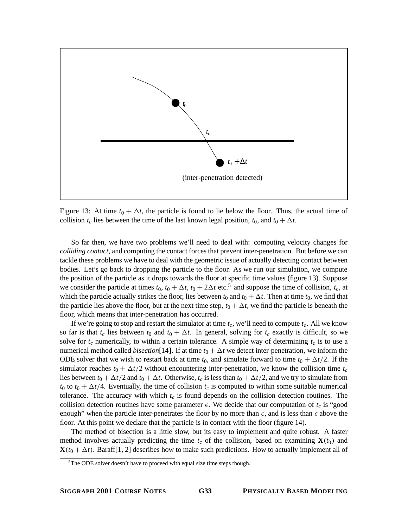

Figure 13: At time  $t_0 + \Delta t$ , the particle is found to lie below the floor. Thus, the actual time of collision  $t_c$  lies between the time of the last known legal position,  $t_0$ , and  $t_0 + \Delta t$ .

So far then, we have two problems we'll need to deal with: computing velocity changes for *colliding contact*, and computing the contact forces that prevent inter-penetration. But before we can tackle these problems we have to deal with the geometric issue of actually detecting contact between bodies. Let's go back to dropping the particle to the floor. As we run our simulation, we compute the position of the particle as it drops towards the floor at specific time values (figure 13). Suppose we consider the particle at times  $t_0$ ,  $t_0 + \Delta t$ ,  $t_0 + 2\Delta t$  etc.<sup>5</sup> and suppose the time of collision,  $t_c$ , at which the particle actually strikes the floor, lies between  $t_0$  and  $t_0 + \Delta t$ . Then at time  $t_0$ , we find that the particle lies above the floor, but at the next time step,  $t_0 + \Delta t$ , we find the particle is beneath the floor, which means that inter-penetration has occurred.

If we're going to stop and restart the simulator at time  $t_c$ , we'll need to compute  $t_c$ . All we know so far is that  $t_c$  lies between  $t_0$  and  $t_0 + \Delta t$ . In general, solving for  $t_c$  exactly is difficult, so we solve for  $t_c$  numerically, to within a certain tolerance. A simple way of determining  $t_c$  is to use a numerical method called *bisection*[14]. If at time  $t_0 + \Delta t$  we detect inter-penetration, we inform the ODE solver that we wish to restart back at time  $t_0$ , and simulate forward to time  $t_0 + \Delta t/2$ . If the simulator reaches  $t_0 + \Delta t/2$  without encountering inter-penetration, we know the collision time  $t_c$ lies between  $t_0 + \Delta t/2$  and  $t_0 + \Delta t$ . Otherwise,  $t_c$  is less than  $t_0 + \Delta t/2$ , and we try to simulate from  $t_0$  to  $t_0 + \Delta t/4$ . Eventually, the time of collision  $t_c$  is computed to within some suitable numerical tolerance. The accuracy with which  $t_c$  is found depends on the collision detection routines. The collision detection routines have some parameter  $\epsilon$ . We decide that our computation of  $t_c$  is "good enough" when the particle inter-penetrates the floor by no more than  $\epsilon$ , and is less than  $\epsilon$  above the floor. At this point we declare that the particle is in contact with the floor (figure 14).

The method of bisection is a little slow, but its easy to implement and quite robust. A faster method involves actually predicting the time  $t_c$  of the collision, based on examining  $\mathbf{X}(t_0)$  and  $\mathbf{X}(t_0 + \Delta t)$ . Baraff[1, 2] describes how to make such predictions. How to actually implement all of

<sup>&</sup>lt;sup>5</sup>The ODE solver doesn't have to proceed with equal size time steps though.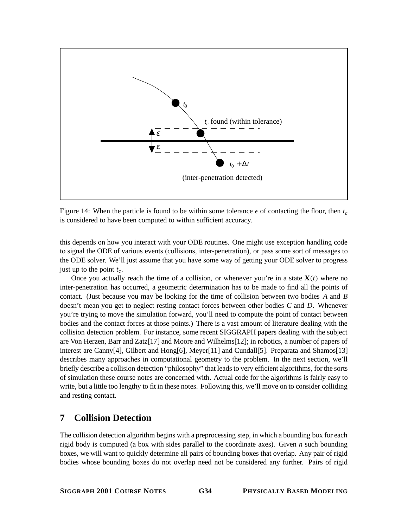

Figure 14: When the particle is found to be within some tolerance  $\epsilon$  of contacting the floor, then  $t_c$ is considered to have been computed to within sufficient accuracy.

this depends on how you interact with your ODE routines. One might use exception handling code to signal the ODE of various events (collisions, inter-penetration), or pass some sort of messages to the ODE solver. We'll just assume that you have some way of getting your ODE solver to progress just up to the point  $t_c$ .

Once you actually reach the time of a collision, or whenever you're in a state  $X(t)$  where no inter-penetration has occurred, a geometric determination has to be made to find all the points of contact. (Just because you may be looking for the time of collision between two bodies *A* and *B* doesn't mean you get to neglect resting contact forces between other bodies *C* and *D*. Whenever you're trying to move the simulation forward, you'll need to compute the point of contact between bodies and the contact forces at those points.) There is a vast amount of literature dealing with the collision detection problem. For instance, some recent SIGGRAPH papers dealing with the subject are Von Herzen, Barr and Zatz[17] and Moore and Wilhelms[12]; in robotics, a number of papers of interest are Canny[4], Gilbert and Hong[6], Meyer[11] and Cundall[5]. Preparata and Shamos[13] describes many approaches in computational geometry to the problem. In the next section, we'll briefly describe a collision detection "philosophy" that leads to very efficient algorithms, for the sorts of simulation these course notes are concerned with. Actual code for the algorithms is fairly easy to write, but a little too lengthy to fit in these notes. Following this, we'll move on to consider colliding and resting contact.

## **7 Collision Detection**

The collision detection algorithm begins with a preprocessing step, in which a bounding box for each rigid body is computed (a box with sides parallel to the coordinate axes). Given *n* such bounding boxes, we will want to quickly determine all pairs of bounding boxes that overlap. Any pair of rigid bodies whose bounding boxes do not overlap need not be considered any further. Pairs of rigid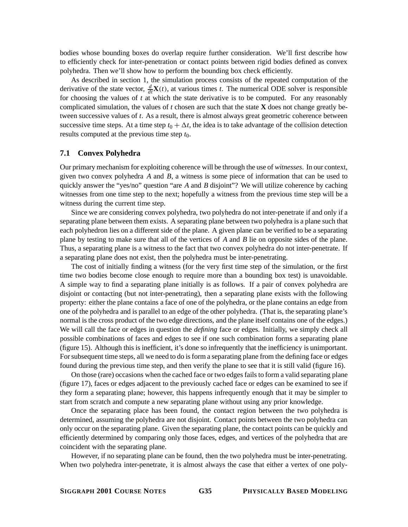bodies whose bounding boxes do overlap require further consideration. We'll first describe how to efficiently check for inter-penetration or contact points between rigid bodies defined as convex polyhedra. Then we'll show how to perform the bounding box check efficiently.

As described in section 1, the simulation process consists of the repeated computation of the derivative of the state vector,  $\frac{d}{dt}\mathbf{X}(t)$ , at various times *t*. The numerical ODE solver is responsible for choosing the values of *t* at which the state derivative is to be computed. For any reasonably complicated simulation, the values of *t* chosen are such that the state **X** does not change greatly between successive values of *t*. As a result, there is almost always great geometric coherence between successive time steps. At a time step  $t_0 + \Delta t$ , the idea is to take advantage of the collision detection results computed at the previous time step  $t_0$ .

### **7.1 Convex Polyhedra**

Our primary mechanism for exploiting coherence will be through the use of *witnesses*. In our context, given two convex polyhedra *A* and *B*, a witness is some piece of information that can be used to quickly answer the "yes/no" question "are *A* and *B* disjoint"? We will utilize coherence by caching witnesses from one time step to the next; hopefully a witness from the previous time step will be a witness during the current time step.

Since we are considering convex polyhedra, two polyhedra do not inter-penetrate if and only if a separating plane between them exists. A separating plane between two polyhedra is a plane such that each polyhedron lies on a different side of the plane. A given plane can be verified to be a separating plane by testing to make sure that all of the vertices of *A* and *B* lie on opposite sides of the plane. Thus, a separating plane is a witness to the fact that two convex polyhedra do not inter-penetrate. If a separating plane does not exist, then the polyhedra must be inter-penetrating.

The cost of initially finding a witness (for the very first time step of the simulation, or the first time two bodies become close enough to require more than a bounding box test) is unavoidable. A simple way to find a separating plane initially is as follows. If a pair of convex polyhedra are disjoint or contacting (but not inter-penetrating), then a separating plane exists with the following property: either the plane contains a face of one of the polyhedra, or the plane contains an edge from one of the polyhedra and is parallel to an edge of the other polyhedra. (That is, the separating plane's normal is the cross product of the two edge directions, and the plane itself contains one of the edges.) We will call the face or edges in question the *defining* face or edges. Initially, we simply check all possible combinations of faces and edges to see if one such combination forms a separating plane (figure 15). Although this is inefficient, it's done so infrequently that the inefficiency is unimportant. For subsequent time steps, all we need to do is form a separating plane from the defining face or edges found during the previous time step, and then verify the plane to see that it is still valid (figure 16).

On those (rare) occasions when the cached face or two edges fails to form a valid separating plane (figure 17), faces or edges adjacent to the previously cached face or edges can be examined to see if they form a separating plane; however, this happens infrequently enough that it may be simpler to start from scratch and compute a new separating plane without using any prior knowledge.

Once the separating place has been found, the contact region between the two polyhedra is determined, assuming the polyhedra are not disjoint. Contact points between the two polyhedra can only occur on the separating plane. Given the separating plane, the contact points can be quickly and efficiently determined by comparing only those faces, edges, and vertices of the polyhedra that are coincident with the separating plane.

However, if no separating plane can be found, then the two polyhedra must be inter-penetrating. When two polyhedra inter-penetrate, it is almost always the case that either a vertex of one poly-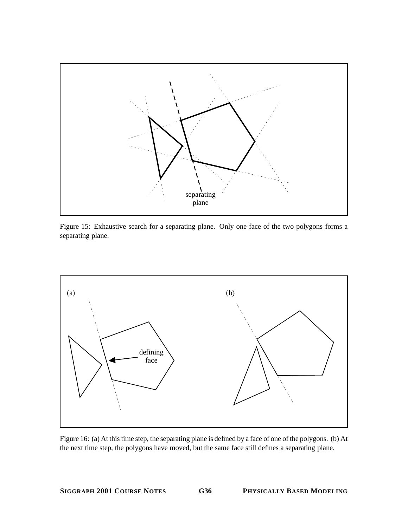

Figure 15: Exhaustive search for a separating plane. Only one face of the two polygons forms a separating plane.



Figure 16: (a) At this time step, the separating plane is defined by a face of one of the polygons. (b) At the next time step, the polygons have moved, but the same face still defines a separating plane.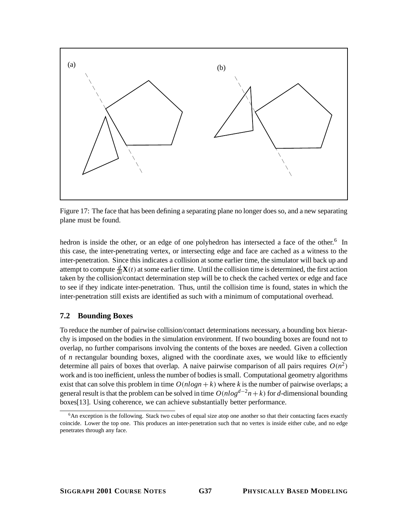

Figure 17: The face that has been defining a separating plane no longer does so, and a new separating plane must be found.

hedron is inside the other, or an edge of one polyhedron has intersected a face of the other.<sup>6</sup> In this case, the inter-penetrating vertex, or intersecting edge and face are cached as a witness to the inter-penetration. Since this indicates a collision at some earlier time, the simulator will back up and attempt to compute  $\frac{d}{dt}\mathbf{X}(t)$  at some earlier time. Until the collision time is determined, the first action taken by the collision/contact determination step will be to check the cached vertex or edge and face to see if they indicate inter-penetration. Thus, until the collision time is found, states in which the inter-penetration still exists are identified as such with a minimum of computational overhead.

### **7.2 Bounding Boxes**

To reduce the number of pairwise collision/contact determinations necessary, a bounding box hierarchy is imposed on the bodies in the simulation environment. If two bounding boxes are found not to overlap, no further comparisons involving the contents of the boxes are needed. Given a collection of *n* rectangular bounding boxes, aligned with the coordinate axes, we would like to efficiently determine all pairs of boxes that overlap. A naive pairwise comparison of all pairs requires  $O(n^2)$ work and is too inefficient, unless the number of bodies is small. Computational geometry algorithms exist that can solve this problem in time  $O(nlog n + k)$  where *k* is the number of pairwise overlaps; a general result is that the problem can be solved in time  $O(nlog^{d-2}n+k)$  for *d*-dimensional bounding boxes[13]. Using coherence, we can achieve substantially better performance.

 $6$ An exception is the following. Stack two cubes of equal size atop one another so that their contacting faces exactly coincide. Lower the top one. This produces an inter-penetration such that no vertex is inside either cube, and no edge penetrates through any face.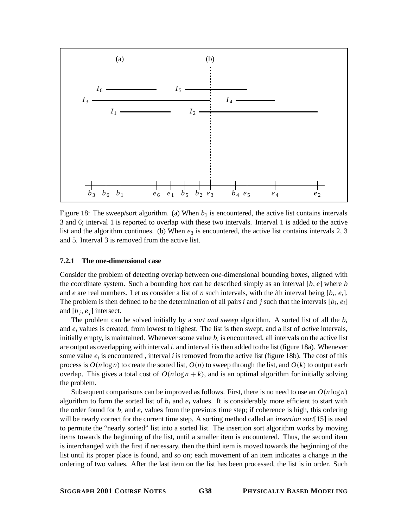

Figure 18: The sweep/sort algorithm. (a) When  $b<sub>1</sub>$  is encountered, the active list contains intervals 3 and 6; interval 1 is reported to overlap with these two intervals. Interval 1 is added to the active list and the algorithm continues. (b) When  $e_3$  is encountered, the active list contains intervals 2, 3 and 5. Interval 3 is removed from the active list.

#### **7.2.1 The one-dimensional case**

Consider the problem of detecting overlap between *one*-dimensional bounding boxes, aligned with the coordinate system. Such a bounding box can be described simply as an interval [*b*, *e*] where *b* and *e* are real numbers. Let us consider a list of *n* such intervals, with the *i*th interval being  $[b_i, e_i]$ . The problem is then defined to be the determination of all pairs  $i$  and  $j$  such that the intervals  $[b_i, e_i]$ and  $[b_i, e_j]$  intersect.

The problem can be solved initially by a *sort and sweep* algorithm. A sorted list of all the *bi* and *ei* values is created, from lowest to highest. The list is then swept, and a list of *active* intervals, initially empty, is maintained. Whenever some value *bi* is encountered, all intervals on the active list are output as overlapping with interval *i*, and interval *i* is then added to the list (figure 18a). Whenever some value  $e_i$  is encountered, interval *i* is removed from the active list (figure 18b). The cost of this process is  $O(n \log n)$  to create the sorted list,  $O(n)$  to sweep through the list, and  $O(k)$  to output each overlap. This gives a total cost of  $O(n \log n + k)$ , and is an optimal algorithm for initially solving the problem.

Subsequent comparisons can be improved as follows. First, there is no need to use an  $O(n \log n)$ algorithm to form the sorted list of  $b_i$  and  $e_i$  values. It is considerably more efficient to start with the order found for  $b_i$  and  $e_i$  values from the previous time step; if coherence is high, this ordering will be nearly correct for the current time step. A sorting method called an *insertion sort*[15] is used to permute the "nearly sorted" list into a sorted list. The insertion sort algorithm works by moving items towards the beginning of the list, until a smaller item is encountered. Thus, the second item is interchanged with the first if necessary, then the third item is moved towards the beginning of the list until its proper place is found, and so on; each movement of an item indicates a change in the ordering of two values. After the last item on the list has been processed, the list is in order. Such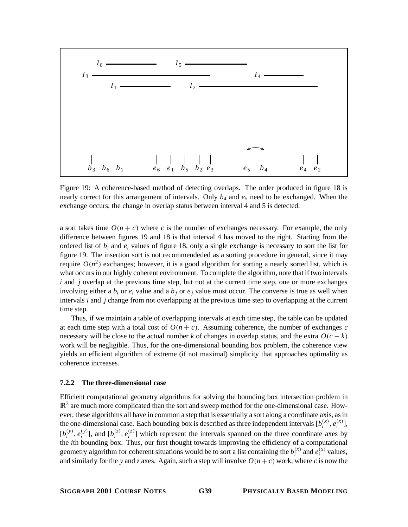

Figure 19: A coherence-based method of detecting overlaps. The order produced in figure 18 is nearly correct for this arrangement of intervals. Only  $b_4$  and  $e_5$  need to be exchanged. When the exchange occurs, the change in overlap status between interval 4 and 5 is detected.

a sort takes time  $O(n + c)$  where c is the number of exchanges necessary. For example, the only difference between figures 19 and 18 is that interval 4 has moved to the right. Starting from the ordered list of *bi* and *ei* values of figure 18, only a single exchange is necessary to sort the list for figure 19. The insertion sort is not recommendeded as a sorting procedure in general, since it may require  $O(n^2)$  exchanges; however, it is a good algorithm for sorting a nearly sorted list, which is what occurs in our highly coherent environment. To complete the algorithm, note that if two intervals *i* and *j* overlap at the previous time step, but not at the current time step, one or more exchanges involving either a  $b_i$  or  $e_i$  value and a  $b_j$  or  $e_j$  value must occur. The converse is true as well when intervals *i* and *j* change from not overlapping at the previous time step to overlapping at the current time step.

Thus, if we maintain a table of overlapping intervals at each time step, the table can be updated at each time step with a total cost of  $O(n + c)$ . Assuming coherence, the number of exchanges c necessary will be close to the actual number *k* of changes in overlap status, and the extra  $O(c - k)$ work will be negligible. Thus, for the one-dimensional bounding box problem, the coherence view yields an efficient algorithm of extreme (if not maximal) simplicity that approaches optimality as coherence increases.

#### **7.2.2 The three-dimensional case**

Efficient computational geometry algorithms for solving the bounding box intersection problem in  $\mathbb{R}^3$  are much more complicated than the sort and sweep method for the one-dimensional case. However, these algorithms all have in common a step that is essentially a sort along a coordinate axis, as in the one-dimensional case. Each bounding box is described as three independent intervals  $[b_i^{(x)}, e_i^{(x)}]$ ,  $[b_i^{(y)}, e_i^{(y)}]$ , and  $[b_i^{(z)}, e_i^{(z)}]$  which represent the intervals spanned on the three coordinate axes by the *i*th bounding box. Thus, our first thought towards improving the efficiency of a computational geometry algorithm for coherent situations would be to sort a list containing the  $b_i^{(x)}$  and  $e_i^{(x)}$  values, and similarly for the *y* and *z* axes. Again, such a step will involve  $O(n + c)$  work, where *c* is now the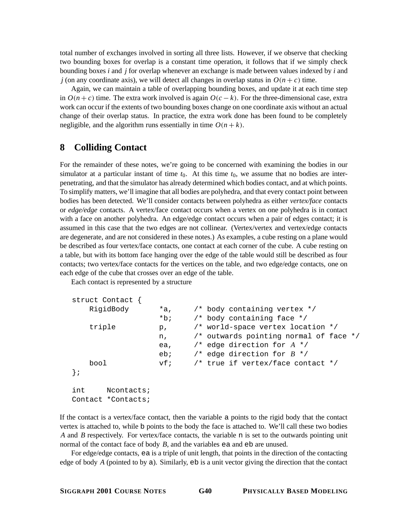total number of exchanges involved in sorting all three lists. However, if we observe that checking two bounding boxes for overlap is a constant time operation, it follows that if we simply check bounding boxes *i* and *j* for overlap whenever an exchange is made between values indexed by *i* and *j* (on any coordinate axis), we will detect all changes in overlap status in  $O(n + c)$  time.

Again, we can maintain a table of overlapping bounding boxes, and update it at each time step in  $O(n + c)$  time. The extra work involved is again  $O(c - k)$ . For the three-dimensional case, extra work can occur if the extents of two bounding boxes change on one coordinate axis without an actual change of their overlap status. In practice, the extra work done has been found to be completely negligible, and the algorithm runs essentially in time  $O(n + k)$ .

## **8 Colliding Contact**

For the remainder of these notes, we're going to be concerned with examining the bodies in our simulator at a particular instant of time  $t_0$ . At this time  $t_0$ , we assume that no bodies are interpenetrating, and that the simulator has already determined which bodies contact, and at which points. To simplify matters, we'll imagine that all bodies are polyhedra, and that every contact point between bodies has been detected. We'll consider contacts between polyhedra as either *vertex/face* contacts or *edge/edge* contacts. A vertex/face contact occurs when a vertex on one polyhedra is in contact with a face on another polyhedra. An edge/edge contact occurs when a pair of edges contact; it is assumed in this case that the two edges are not collinear. (Vertex/vertex and vertex/edge contacts are degenerate, and are not considered in these notes.) As examples, a cube resting on a plane would be described as four vertex/face contacts, one contact at each corner of the cube. A cube resting on a table, but with its bottom face hanging over the edge of the table would still be described as four contacts; two vertex/face contacts for the vertices on the table, and two edge/edge contacts, one on each edge of the cube that crosses over an edge of the table.

Each contact is represented by a structure

```
struct Contact {
   RigidBody *a, /* body containing vertex */
                 *b; /* body containing face */
   triple p, \gamma world-space vertex location */
                 n, /* outwards pointing normal of face */
                 ea, /* edge direction for A */
                 eb; /* edge direction for B */
   bool vf; /* true if vertex/face contact */
};
int Ncontacts;
Contact *Contacts;
```
If the contact is a vertex/face contact, then the variable a points to the rigid body that the contact vertex is attached to, while b points to the body the face is attached to. We'll call these two bodies *A* and *B* respectively. For vertex/face contacts, the variable n is set to the outwards pointing unit normal of the contact face of body *B*, and the variables ea and eb are unused.

For edge/edge contacts, ea is a triple of unit length, that points in the direction of the contacting edge of body *A* (pointed to by a). Similarly, eb is a unit vector giving the direction that the contact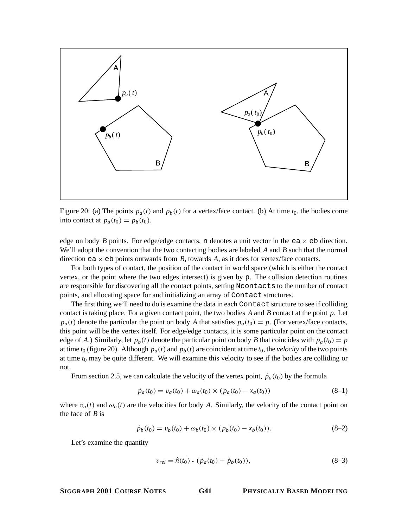

Figure 20: (a) The points  $p_a(t)$  and  $p_b(t)$  for a vertex/face contact. (b) At time  $t_0$ , the bodies come into contact at  $p_a(t_0) = p_b(t_0)$ .

edge on body *B* points. For edge/edge contacts, n denotes a unit vector in the ea  $\times$  eb direction. We'll adopt the convention that the two contacting bodies are labeled *A* and *B* such that the normal direction ea  $\times$  eb points outwards from *B*, towards *A*, as it does for vertex/face contacts.

For both types of contact, the position of the contact in world space (which is either the contact vertex, or the point where the two edges intersect) is given by p. The collision detection routines are responsible for discovering all the contact points, setting Ncontacts to the number of contact points, and allocating space for and initializing an array of Contact structures.

The first thing we'll need to do is examine the data in each Contact structure to see if colliding contact is taking place. For a given contact point, the two bodies *A* and *B* contact at the point *p*. Let  $p_a(t)$  denote the particular the point on body *A* that satisfies  $p_a(t_0) = p$ . (For vertex/face contacts, this point will be the vertex itself. For edge/edge contacts, it is some particular point on the contact edge of *A*.) Similarly, let  $p_b(t)$  denote the particular point on body *B* that coincides with  $p_a(t_0) = p$ at time  $t_0$  (figure 20). Although  $p_a(t)$  and  $p_b(t)$  are coincident at time  $t_0$ , the *velocity* of the two points at time  $t_0$  may be quite different. We will examine this velocity to see if the bodies are colliding or not.

From section 2.5, we can calculate the velocity of the vertex point,  $\dot{p}_a(t_0)$  by the formula

$$
\dot{p}_a(t_0) = v_a(t_0) + \omega_a(t_0) \times (p_a(t_0) - x_a(t_0))
$$
\n(8-1)

where  $v_a(t)$  and  $\omega_a(t)$  are the velocities for body A. Similarly, the velocity of the contact point on the face of *B* is

$$
\dot{p}_b(t_0) = v_b(t_0) + \omega_b(t_0) \times (p_b(t_0) - x_b(t_0)). \tag{8-2}
$$

Let's examine the quantity

$$
v_{rel} = \hat{n}(t_0) \cdot (\dot{p}_a(t_0) - \dot{p}_b(t_0)), \tag{8-3}
$$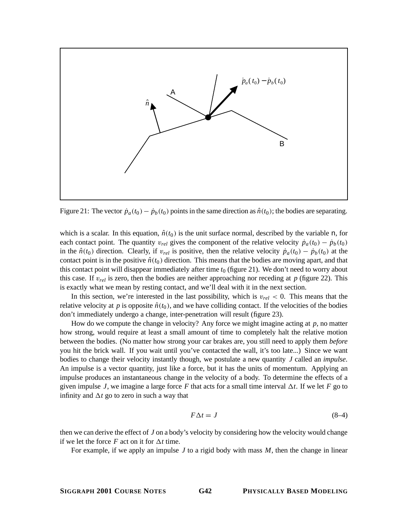

Figure 21: The vector  $\dot{p}_a(t_0) - \dot{p}_b(t_0)$  points in the same direction as  $\hat{n}(t_0)$ ; the bodies are separating.

which is a scalar. In this equation,  $\hat{n}(t_0)$  is the unit surface normal, described by the variable n, for each contact point. The quantity  $v_{rel}$  gives the component of the relative velocity  $\dot{p}_a(t_0) - \dot{p}_b(t_0)$ in the  $\hat{n}(t_0)$  direction. Clearly, if  $v_{rel}$  is positive, then the relative velocity  $\dot{p}_a(t_0) - \dot{p}_b(t_0)$  at the contact point is in the positive  $\hat{n}(t_0)$  direction. This means that the bodies are moving apart, and that this contact point will disappear immediately after time  $t_0$  (figure 21). We don't need to worry about this case. If  $v_{rel}$  is zero, then the bodies are neither approaching nor receding at  $p$  (figure 22). This is exactly what we mean by resting contact, and we'll deal with it in the next section.

In this section, we're interested in the last possibility, which is  $v_{rel} < 0$ . This means that the relative velocity at *p* is opposite  $\hat{n}(t_0)$ , and we have colliding contact. If the velocities of the bodies don't immediately undergo a change, inter-penetration will result (figure 23).

How do we compute the change in velocity? Any force we might imagine acting at *p*, no matter how strong, would require at least a small amount of time to completely halt the relative motion between the bodies. (No matter how strong your car brakes are, you still need to apply them *before* you hit the brick wall. If you wait until you've contacted the wall, it's too late...) Since we want bodies to change their velocity instantly though, we postulate a new quantity *J* called an *impulse*. An impulse is a vector quantity, just like a force, but it has the units of momentum. Applying an impulse produces an instantaneous change in the velocity of a body. To determine the effects of a given impulse *J*, we imagine a large force *F* that acts for a small time interval  $\Delta t$ . If we let *F* go to infinity and  $\Delta t$  go to zero in such a way that

$$
F\Delta t = J \tag{8-4}
$$

then we can derive the effect of *J* on a body's velocity by considering how the velocity would change if we let the force *F* act on it for  $\Delta t$  time.

For example, if we apply an impulse *J* to a rigid body with mass *M*, then the change in linear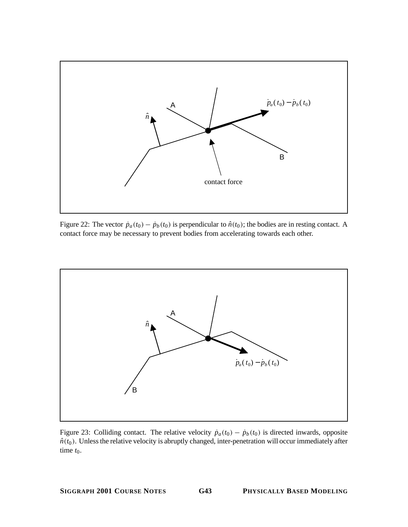

Figure 22: The vector  $\dot{p}_a(t_0) - \dot{p}_b(t_0)$  is perpendicular to  $\hat{n}(t_0)$ ; the bodies are in resting contact. A contact force may be necessary to prevent bodies from accelerating towards each other.



Figure 23: Colliding contact. The relative velocity  $\dot{p}_a(t_0) - \dot{p}_b(t_0)$  is directed inwards, opposite  $\hat{n}(t_0)$ . Unless the relative velocity is abruptly changed, inter-penetration will occur immediately after time  $t_0$ .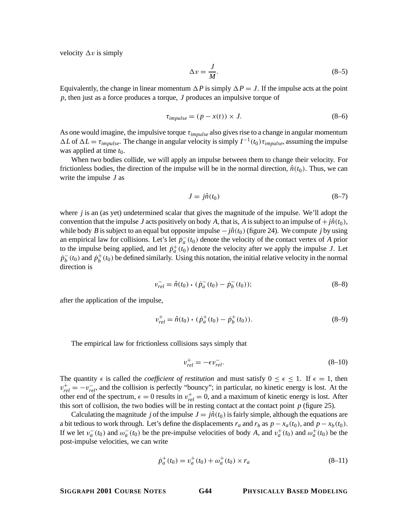velocity  $\Delta v$  is simply

$$
\Delta v = \frac{J}{M}.\tag{8-5}
$$

Equivalently, the change in linear momentum  $\Delta P$  is simply  $\Delta P = J$ . If the impulse acts at the point *p*, then just as a force produces a torque, *J* produces an impulsive torque of

$$
\tau_{impulse} = (p - x(t)) \times J. \tag{8-6}
$$

As one would imagine, the impulsive torque τ*impulse* also gives rise to a change in angular momentum  $\Delta L$  of  $\Delta L = \tau_{impulse}$ . The change in angular velocity is simply  $I^{-1}(t_0) \tau_{impulse}$ , assuming the impulse was applied at time  $t_0$ .

When two bodies collide, we will apply an impulse between them to change their velocity. For frictionless bodies, the direction of the impulse will be in the normal direction,  $\hat{n}(t_0)$ . Thus, we can write the impulse *J* as

$$
J = j\hat{n}(t_0) \tag{8-7}
$$

where *j* is an (as yet) undetermined scalar that gives the magnitude of the impulse. We'll adopt the convention that the impulse *J* acts positively on body *A*, that is, *A* is subject to an impulse of  $+ j\hat{n}(t_0)$ , while body *B* is subject to an equal but opposite impulse  $-j\hat{n}(t_0)$  (figure 24). We compute *j* by using an empirical law for collisions. Let's let  $p_a^-$ ( $t_0$ ) denote the velocity of the contact vertex of *A* prior to the impulse being applied, and let  $\dot{p}_a^+(t_0)$  denote the velocity after we apply the impulse *J*. Let  $p_b^-(t_0)$  and  $p_b^+(t_0)$  be defined similarly. Using this notation, the initial relative velocity in the normal direction is

$$
v_{rel}^- = \hat{n}(t_0) \cdot (\dot{p}_a^-(t_0) - \dot{p}_b^-(t_0)); \tag{8-8}
$$

after the application of the impulse,

$$
v_{rel}^{+} = \hat{n}(t_0) \cdot (\dot{p}_a^{+}(t_0) - \dot{p}_b^{+}(t_0)).
$$
\n(8–9)

The empirical law for frictionless collisions says simply that

$$
v_{rel}^+ = -\epsilon v_{rel}^-.
$$
\n
$$
(8-10)
$$

The quantity  $\epsilon$  is called the *coefficient of restitution* and must satisfy  $0 \leq \epsilon \leq 1$ . If  $\epsilon = 1$ , then  $v_{rel}^+ = -v_{rel}^-$ , and the collision is perfectly "bouncy"; in particular, no kinetic energy is lost. At the other end of the spectrum,  $\epsilon = 0$  results in  $v_{rel}^+ = 0$ , and a maximum of kinetic energy is lost. After this sort of collision, the two bodies will be in resting contact at the contact point  $p$  (figure 25).

Calculating the magnitude *j* of the impulse  $J = j\hat{n}(t_0)$  is fairly simple, although the equations are a bit tedious to work through. Let's define the displacements  $r_a$  and  $r_b$  as  $p - x_a(t_0)$ , and  $p - x_b(t_0)$ . If we let  $v_a^-(t_0)$  and  $\omega_a^-(t_0)$  be the pre-impulse velocities of body *A*, and  $v_a^+(t_0)$  and  $\omega_a^+(t_0)$  be the post-impulse velocities, we can write

$$
\dot{p}_a^+(t_0) = v_a^+(t_0) + \omega_a^+(t_0) \times r_a \tag{8-11}
$$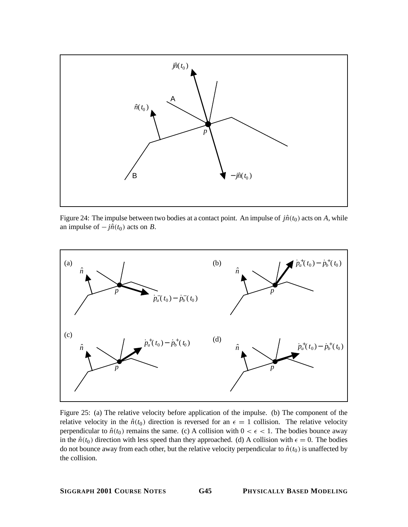

Figure 24: The impulse between two bodies at a contact point. An impulse of  $j\hat{n}(t_0)$  acts on A, while an impulse of  $-j\hat{n}(t_0)$  acts on *B*.



Figure 25: (a) The relative velocity before application of the impulse. (b) The component of the relative velocity in the  $\hat{n}(t_0)$  direction is reversed for an  $\epsilon = 1$  collision. The relative velocity perpendicular to  $\hat{n}(t_0)$  remains the same. (c) A collision with  $0 < \epsilon < 1$ . The bodies bounce away in the  $\hat{n}(t_0)$  direction with less speed than they approached. (d) A collision with  $\epsilon = 0$ . The bodies do not bounce away from each other, but the relative velocity perpendicular to  $\hat{n}(t_0)$  is unaffected by the collision.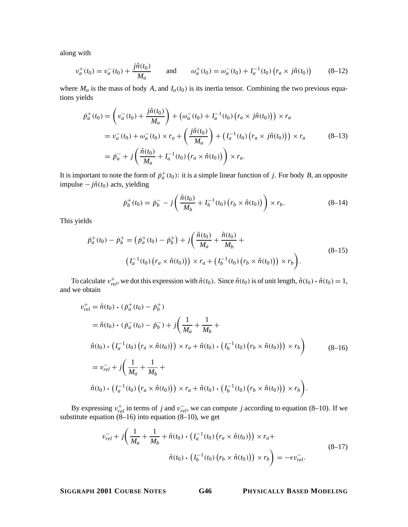along with

$$
v_a^+(t_0) = v_a^-(t_0) + \frac{j\hat{n}(t_0)}{M_a} \quad \text{and} \quad \omega_a^+(t_0) = \omega_a^-(t_0) + I_a^{-1}(t_0) \left(r_a \times j\hat{n}(t_0)\right) \quad (8-12)
$$

where  $M_a$  is the mass of body A, and  $I_a(t_0)$  is its inertia tensor. Combining the two previous equations yields

$$
\dot{p}_a^+(t_0) = \left(v_a^-(t_0) + \frac{j\hat{n}(t_0)}{M_a}\right) + \left(\omega_a^-(t_0) + I_a^{-1}(t_0) \left(r_a \times j\hat{n}(t_0)\right)\right) \times r_a
$$
\n
$$
= v_a^-(t_0) + \omega_a^-(t_0) \times r_a + \left(\frac{j\hat{n}(t_0)}{M_a}\right) + \left(I_a^{-1}(t_0) \left(r_a \times j\hat{n}(t_0)\right)\right) \times r_a \tag{8-13}
$$
\n
$$
= \dot{p}_a^- + j\left(\frac{\hat{n}(t_0)}{M_a} + I_a^{-1}(t_0) \left(r_a \times \hat{n}(t_0)\right)\right) \times r_a.
$$

It is important to note the form of  $\dot{p}_a^+(t_0)$ : it is a simple linear function of *j*. For body *B*, an opposite impulse  $-j\hat{n}(t_0)$  acts, yielding

$$
\dot{p}_b^+(t_0) = \dot{p}_b^- - j \left( \frac{\hat{n}(t_0)}{M_b} + I_b^{-1}(t_0) \left( r_b \times \hat{n}(t_0) \right) \right) \times r_b. \tag{8-14}
$$

This yields

$$
\dot{p}_a^+(t_0) - \dot{p}_b^+ = (\dot{p}_a^+(t_0) - \dot{p}_b^+) + j \left( \frac{\hat{n}(t_0)}{M_a} + \frac{\hat{n}(t_0)}{M_b} + (I_a^{-1}(t_0) (r_a \times \hat{n}(t_0))) \times r_a + (I_b^{-1}(t_0) (r_b \times \hat{n}(t_0))) \times r_b \right).
$$
\n(8-15)

To calculate  $v_{rel}^+$ , we dot this expression with  $\hat{n}(t_0)$ . Since  $\hat{n}(t_0)$  is of unit length,  $\hat{n}(t_0) \cdot \hat{n}(t_0) = 1$ , we obtain and we obtain

$$
v_{rel}^{+} = \hat{n}(t_{0}) \cdot (\dot{p}_{a}^{+}(t_{0}) - \dot{p}_{b}^{+})
$$
  
\n
$$
= \hat{n}(t_{0}) \cdot (\dot{p}_{a}^{-}(t_{0}) - \dot{p}_{b}^{-}) + j \left( \frac{1}{M_{a}} + \frac{1}{M_{b}} + \right.
$$
  
\n
$$
\hat{n}(t_{0}) \cdot (I_{a}^{-1}(t_{0}) (r_{a} \times \hat{n}(t_{0}))) \times r_{a} + \hat{n}(t_{0}) \cdot (I_{b}^{-1}(t_{0}) (r_{b} \times \hat{n}(t_{0}))) \times r_{b}
$$
  
\n
$$
= v_{rel}^{-} + j \left( \frac{1}{M_{a}} + \frac{1}{M_{b}} + \right.
$$
  
\n
$$
\hat{n}(t_{0}) \cdot (I_{a}^{-1}(t_{0}) (r_{a} \times \hat{n}(t_{0}))) \times r_{a} + \hat{n}(t_{0}) \cdot (I_{b}^{-1}(t_{0}) (r_{b} \times \hat{n}(t_{0}))) \times r_{b}
$$
  
\n(8-16)

By expressing  $v_{rel}^+$  in terms of *j* and  $v_{rel}^-$ , we can compute *j* according to equation (8–10). If we substitute equation  $(8-16)$  into equation  $(8-10)$ , we get

$$
v_{rel}^- + j\left(\frac{1}{M_a} + \frac{1}{M_b} + \hat{n}(t_0) \cdot \left(I_a^{-1}(t_0) \left(r_a \times \hat{n}(t_0)\right)\right) \times r_a + \hat{n}(t_0) \cdot \left(I_b^{-1}(t_0) \left(r_b \times \hat{n}(t_0)\right)\right) \times r_b\right) = -\epsilon v_{rel}^-.
$$
\n(8-17)

**SIGGRAPH 2001 COURSE NOTES G46 PHYSICALLY BASED MODELING**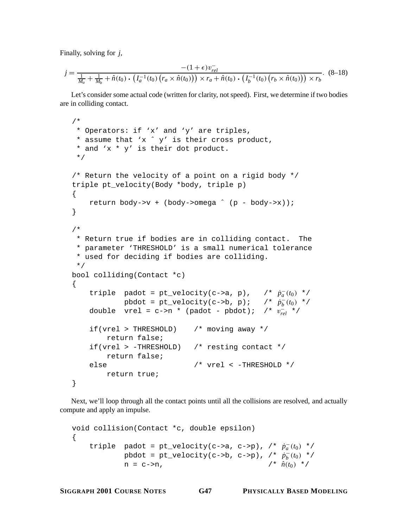Finally, solving for *j*,

$$
j = \frac{-(1+\epsilon)v_{rel}^-}{\frac{1}{M_a} + \frac{1}{M_b} + \hat{n}(t_0) \cdot (I_a^{-1}(t_0) (r_a \times \hat{n}(t_0))) \times r_a + \hat{n}(t_0) \cdot (I_b^{-1}(t_0) (r_b \times \hat{n}(t_0))) \times r_b}.
$$
 (8-18)

Let's consider some actual code (written for clarity, not speed). First, we determine if two bodies are in colliding contact.

```
/*
 * Operators: if 'x' and 'y' are triples,
* assume that 'x ˆ y' is their cross product,
 * and 'x * y' is their dot product.
 */
/* Return the velocity of a point on a rigid body */
triple pt_velocity(Body *body, triple p)
{
   return body->v + (body->omega ˆ (p - body->x));
}
/*
 * Return true if bodies are in colliding contact. The
 * parameter 'THRESHOLD' is a small numerical tolerance
 * used for deciding if bodies are colliding.
 */
bool colliding(Contact *c)
\{triple padot = pt_velocity(c->a, p), /* \dot{p}_a^-(t_0) */
            pbdot = pt\_velocity(c->b, p); /* \dot{p}_b^-(t_0) */
    double vrel = c->n * (padot - pbdot); /* v−
rel */
    if(vrel > THRESHOLD) /* moving away */
        return false;
    if(vrel > -THRESHOLD) /* resting contact */
        return false;
    else /* vrel < -THRESHOLD */
        return true;
}
```
Next, we'll loop through all the contact points until all the collisions are resolved, and actually compute and apply an impulse.

```
void collision(Contact *c, double epsilon)
{
    triple padot = pt_velocity(c->a, c->p), /* \dot{p}_a^-(t_0) */
             pbdot = pt_velocity(c->b, c->p), /* p˙−
b (t0) */
            n = c \rightarrow n, /* \hat{n}(t_0) */
```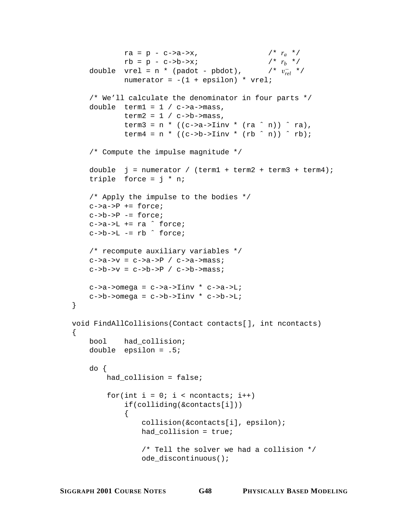```
ra = p - c \rightarrow a \rightarrow x, /* r_a */
             rb = p - c->b->x; /* r_b */
    double vrel = n * (padot - pbdot),
                                                 \frac{1}{r} \frac{1}{r} \frac{1}{r} \frac{1}{r}numerator = -(1 + \text{epsilon}) * \text{vrel};
    /* We'll calculate the denominator in four parts */
    double term1 = 1 / c->a->mass,
             term2 = 1 / c->b->mass,term3 = n * ((c->a->Iinv * (ra ^n)) ^ ra),term4 = n * ((c->b->Iinv * (rb ^ n)) ^ rk);/* Compute the impulse magnitude */
    double j = numerator / (term1 + term2 + term3 + term4);
    triple force = j * n;
    /* Apply the impulse to the bodies */
    c->a->P += force;c->b->P -= force;
    c->a->L += ra \hat{c} force;
    c->b->L -= rb ^ force;
    /* recompute auxiliary variables */
    c \rightarrow a \rightarrow v = c \rightarrow a \rightarrow P / c \rightarrow a \rightarrow mass;
    c->b->v = c->b->P / c->b->mass;c->a->omega = c->a->Iinv * c->a->L;
    c->b->omega = c->b->Iinv * c->b->L;void FindAllCollisions(Contact contacts[], int ncontacts)
    bool had_collision;
    double epsilon = .5;
    do {
        had collision = false;for(int i = 0; i < ncontacts; i++)if(colliding(&contacts[i]))
             {
                 collision(&contacts[i], epsilon);
                 had_collision = true;
                 /* Tell the solver we had a collision */
                 ode_discontinuous();
```
}

{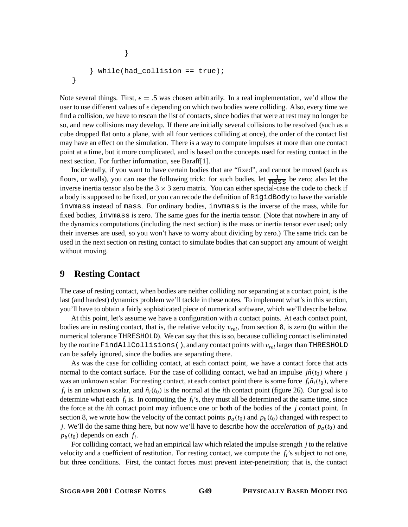```
}
    } while(had_collision == true);
}
```
Note several things. First,  $\epsilon = .5$  was chosen arbitrarily. In a real implementation, we'd allow the user to use different values of  $\epsilon$  depending on which two bodies were colliding. Also, every time we find a collision, we have to rescan the list of contacts, since bodies that were at rest may no longer be so, and new collisions may develop. If there are initially several collisions to be resolved (such as a cube dropped flat onto a plane, with all four vertices colliding at once), the order of the contact list may have an effect on the simulation. There is a way to compute impulses at more than one contact point at a time, but it more complicated, and is based on the concepts used for resting contact in the next section. For further information, see Baraff[1].

Incidentally, if you want to have certain bodies that are "fixed", and cannot be moved (such as floors, or walls), you can use the following trick: for such bodies, let  $\frac{1}{\text{mass}}$  be zero; also let the inverse inertia tensor also be the  $3 \times 3$  zero matrix. You can either special-case the code to check if a body is supposed to be fixed, or you can recode the definition of RigidBody to have the variable invmass instead of mass. For ordinary bodies, invmass is the inverse of the mass, while for fixed bodies, invmass is zero. The same goes for the inertia tensor. (Note that nowhere in any of the dynamics computations (including the next section) is the mass or inertia tensor ever used; only their inverses are used, so you won't have to worry about dividing by zero.) The same trick can be used in the next section on resting contact to simulate bodies that can support any amount of weight without moving.

## **9 Resting Contact**

The case of resting contact, when bodies are neither colliding nor separating at a contact point, is the last (and hardest) dynamics problem we'll tackle in these notes. To implement what's in this section, you'll have to obtain a fairly sophisticated piece of numerical software, which we'll describe below.

At this point, let's assume we have a configuration with *n* contact points. At each contact point, bodies are in resting contact, that is, the relative velocity v*rel*, from section 8, is zero (to within the numerical tolerance THRESHOLD). We can say that this is so, because colliding contact is eliminated by the routine FindAllCollisions(), and any contact points with v*rel* larger than THRESHOLD can be safely ignored, since the bodies are separating there.

As was the case for colliding contact, at each contact point, we have a contact force that acts normal to the contact surface. For the case of colliding contact, we had an impulse  $j\hat{n}(t_0)$  where *j* was an unknown scalar. For resting contact, at each contact point there is some force  $f_i \hat{n}_i(t_0)$ , where  $f_i$  is an unknown scalar, and  $\hat{n}_i(t_0)$  is the normal at the *i*th contact point (figure 26). Our goal is to determine what each  $f_i$  is. In computing the  $f_i$ 's, they must all be determined at the same time, since the force at the *i*th contact point may influence one or both of the bodies of the *j* contact point. In section 8, we wrote how the velocity of the contact points  $p_a(t_0)$  and  $p_b(t_0)$  changed with respect to *j*. We'll do the same thing here, but now we'll have to describe how the *acceleration* of  $p_a(t_0)$  and  $p_b(t_0)$  depends on each  $f_i$ .

For colliding contact, we had an empirical law which related the impulse strength *j* to the relative velocity and a coefficient of restitution. For resting contact, we compute the  $f_i$ 's subject to not one, but three conditions. First, the contact forces must prevent inter-penetration; that is, the contact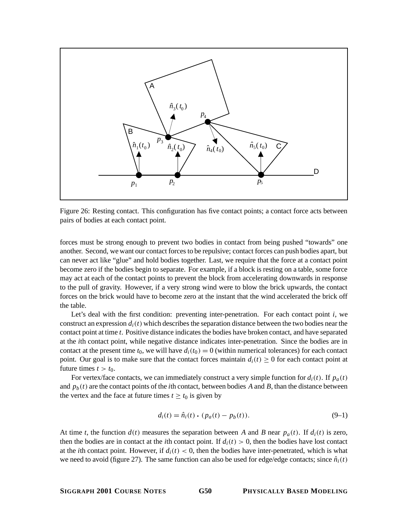

Figure 26: Resting contact. This configuration has five contact points; a contact force acts between pairs of bodies at each contact point.

forces must be strong enough to prevent two bodies in contact from being pushed "towards" one another. Second, we want our contact forces to be repulsive; contact forces can push bodies apart, but can never act like "glue" and hold bodies together. Last, we require that the force at a contact point become zero if the bodies begin to separate. For example, if a block is resting on a table, some force may act at each of the contact points to prevent the block from accelerating downwards in response to the pull of gravity. However, if a very strong wind were to blow the brick upwards, the contact forces on the brick would have to become zero at the instant that the wind accelerated the brick off the table.

Let's deal with the first condition: preventing inter-penetration. For each contact point *i*, we construct an expression  $d_i(t)$  which describes the separation distance between the two bodies near the contact point at time *t*. Positive distance indicates the bodies have broken contact, and have separated at the *i*th contact point, while negative distance indicates inter-penetration. Since the bodies are in contact at the present time  $t_0$ , we will have  $d_i(t_0) = 0$  (within numerical tolerances) for each contact point. Our goal is to make sure that the contact forces maintain  $d_i(t) \geq 0$  for each contact point at future times  $t > t_0$ .

For vertex/face contacts, we can immediately construct a very simple function for  $d_i(t)$ . If  $p_a(t)$ and  $p_b(t)$  are the contact points of the *i*th contact, between bodies *A* and *B*, than the distance between the vertex and the face at future times  $t \ge t_0$  is given by

$$
d_i(t) = \hat{n}_i(t) \cdot (p_a(t) - p_b(t)).
$$
\n(9-1)

At time *t*, the function  $d(t)$  measures the separation between *A* and *B* near  $p_a(t)$ . If  $d_i(t)$  is zero, then the bodies are in contact at the *i*th contact point. If  $d_i(t) > 0$ , then the bodies have lost contact at the *i*th contact point. However, if  $d_i(t) < 0$ , then the bodies have inter-penetrated, which is what we need to avoid (figure 27). The same function can also be used for edge/edge contacts; since  $\hat{n}_i(t)$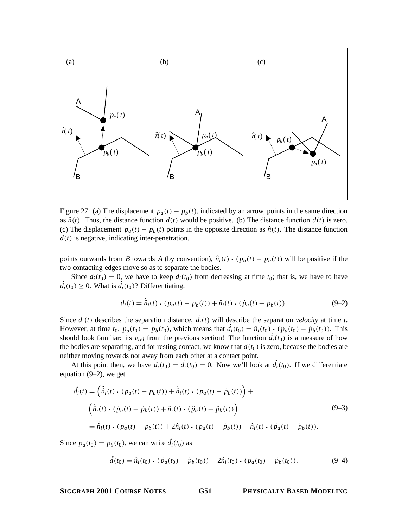

Figure 27: (a) The displacement  $p_a(t) - p_b(t)$ , indicated by an arrow, points in the same direction as  $\hat{n}(t)$ . Thus, the distance function  $d(t)$  would be positive. (b) The distance function  $d(t)$  is zero. (c) The displacement  $p_a(t) - p_b(t)$  points in the opposite direction as  $\hat{n}(t)$ . The distance function  $d(t)$  is negative, indicating inter-penetration.

points outwards from *B* towards *A* (by convention),  $\hat{n}_i(t) \cdot (p_a(t) - p_b(t))$  will be positive if the two contacting edges move so as to separate the bodies.

Since  $d_i(t_0) = 0$ , we have to keep  $d_i(t_0)$  from decreasing at time  $t_0$ ; that is, we have to have  $d_i(t_0) \geq 0$ . What is  $d_i(t_0)$ ? Differentiating,

$$
\dot{d}_i(t) = \hat{n}_i(t) \cdot (p_a(t) - p_b(t)) + \hat{n}_i(t) \cdot (\dot{p}_a(t) - \dot{p}_b(t)).
$$
 (9–2)

Since  $d_i(t)$  describes the separation distance,  $d_i(t)$  will describe the separation *velocity* at time *t*. However, at time  $t_0$ ,  $p_a(t_0) = p_b(t_0)$ , which means that  $d_i(t_0) = \hat{n}_i(t_0) \cdot (\dot{p}_a(t_0) - \dot{p}_b(t_0))$ . This should look familiar: its *n* is from the previous section. The function  $\dot{d}_i(t_0)$  is a measure of how should look familiar: its  $v_{rel}$  from the previous section! The function  $d_i(t_0)$  is a measure of how the bodies are separating, and for resting contact, we know that  $d(t_0)$  is zero, because the bodies are neither moving towards nor away from each other at a contact point.

At this point then, we have  $d_i(t_0) = d_i(t_0) = 0$ . Now we'll look at  $d_i(t_0)$ . If we differentiate equation (9–2), we get

$$
\ddot{d}_i(t) = (\dot{\tilde{n}}_i(t) \cdot (p_a(t) - p_b(t)) + \dot{\tilde{n}}_i(t) \cdot (\dot{p}_a(t) - \dot{p}_b(t)) +
$$
  

$$
(\dot{\tilde{n}}_i(t) \cdot (\dot{p}_a(t) - \dot{p}_b(t)) + \hat{n}_i(t) \cdot (\ddot{p}_a(t) - \ddot{p}_b(t))
$$
  

$$
= \ddot{\tilde{n}}_i(t) \cdot (p_a(t) - p_b(t)) + 2\dot{\tilde{n}}_i(t) \cdot (\dot{p}_a(t) - \dot{p}_b(t)) + \hat{n}_i(t) \cdot (\ddot{p}_a(t) - \ddot{p}_b(t)).
$$
\n(9-3)

Since  $p_a(t_0) = p_b(t_0)$ , we can write  $d_i(t_0)$  as

$$
\ddot{d}(t_0) = \hat{n}_i(t_0) \cdot (\ddot{p}_a(t_0) - \ddot{p}_b(t_0)) + 2\dot{\hat{n}}_i(t_0) \cdot (\dot{p}_a(t_0) - \dot{p}_b(t_0)).
$$
\n(9-4)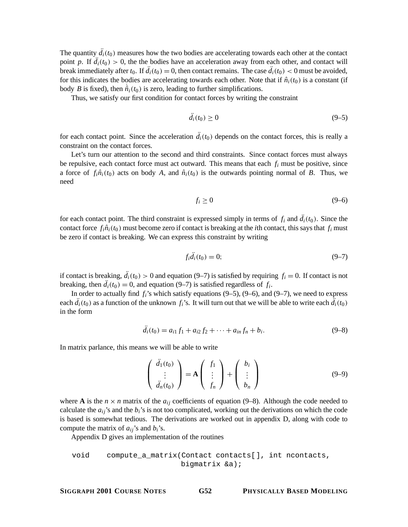The quantity  $d_i(t_0)$  measures how the two bodies are accelerating towards each other at the contact point *p*. If  $d_i(t_0) > 0$ , the the bodies have an acceleration away from each other, and contact will break immediately after  $t_0$ . If  $d_i(t_0) = 0$ , then contact remains. The case  $d_i(t_0) < 0$  must be avoided, for this indicates the bodies are accelerating towards each other. Note that if  $\hat{n}_i(t_0)$  is a constant (if body *B* is fixed), then  $\hat{n}_i(t_0)$  is zero, leading to further simplifications.

Thus, we satisfy our first condition for contact forces by writing the constraint

$$
\ddot{d}_i(t_0) \ge 0 \tag{9-5}
$$

for each contact point. Since the acceleration  $d_i(t_0)$  depends on the contact forces, this is really a constraint on the contact forces.

Let's turn our attention to the second and third constraints. Since contact forces must always be repulsive, each contact force must act outward. This means that each  $f_i$  must be positive, since a force of  $f_i \hat{n}_i(t_0)$  acts on body A, and  $\hat{n}_i(t_0)$  is the outwards pointing normal of B. Thus, we need

$$
f_i \ge 0 \tag{9-6}
$$

for each contact point. The third constraint is expressed simply in terms of  $f_i$  and  $d_i(t_0)$ . Since the contact force  $f_i \hat{n}_i(t_0)$  must become zero if contact is breaking at the *i*th contact, this says that  $f_i$  must be zero if contact is breaking. We can express this constraint by writing

$$
f_i d_i(t_0) = 0; \t\t(9-7)
$$

if contact is breaking,  $d_i(t_0) > 0$  and equation (9–7) is satisfied by requiring  $f_i = 0$ . If contact is not breaking, then  $d_i(t_0) = 0$ , and equation (9–7) is satisfied regardless of  $f_i$ .

In order to actually find  $f_i$ 's which satisfy equations  $(9-5)$ ,  $(9-6)$ , and  $(9-7)$ , we need to express each  $d_i(t_0)$  as a function of the unknown  $f_i$ 's. It will turn out that we will be able to write each  $d_i(t_0)$ in the form

$$
d_i(t_0) = a_{i1} f_1 + a_{i2} f_2 + \dots + a_{in} f_n + b_i.
$$
 (9-8)

In matrix parlance, this means we will be able to write

$$
\begin{pmatrix}\n\ddot{d}_1(t_0) \\
\vdots \\
\ddot{d}_n(t_0)\n\end{pmatrix} = \mathbf{A} \begin{pmatrix}\nf_1 \\
\vdots \\
f_n\n\end{pmatrix} + \begin{pmatrix}\nb_i \\
\vdots \\
b_n\n\end{pmatrix}
$$
\n(9-9)

where **A** is the  $n \times n$  matrix of the  $a_{ij}$  coefficients of equation (9–8). Although the code needed to calculate the  $a_{ij}$ 's and the  $b_i$ 's is not too complicated, working out the derivations on which the code is based is somewhat tedious. The derivations are worked out in appendix D, along with code to compute the matrix of  $a_{ij}$ 's and  $b_i$ 's.

Appendix D gives an implementation of the routines

void compute\_a\_matrix(Contact contacts[], int ncontacts, bigmatrix &a);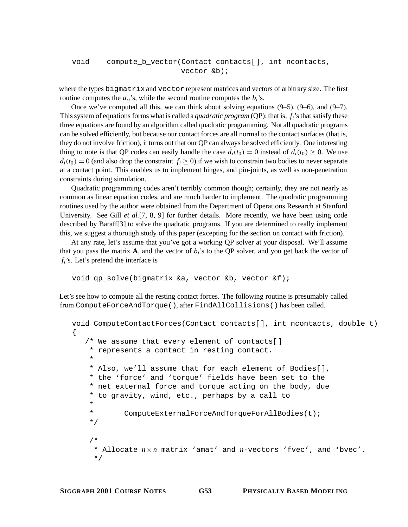```
void compute_b_vector(Contact contacts[], int ncontacts,
                        vector &b);
```
where the types bigmatrix and vector represent matrices and vectors of arbitrary size. The first routine computes the  $a_{ij}$ 's, while the second routine computes the  $b_i$ 's.

Once we've computed all this, we can think about solving equations  $(9-5)$ ,  $(9-6)$ , and  $(9-7)$ . This system of equations forms what is called a *quadratic program* (QP); that is, *fi*'s that satisfy these three equations are found by an algorithm called quadratic programming. Not all quadratic programs can be solved efficiently, but because our contact forces are all normal to the contact surfaces (that is, they do not involve friction), it turns out that our QP can always be solved efficiently. One interesting thing to note is that QP codes can easily handle the case  $d_i(t_0) = 0$  instead of  $d_i(t_0) \ge 0$ . We use  $d_i(t_0) = 0$  (and also drop the constraint  $f_i \ge 0$ ) if we wish to constrain two bodies to never separate at a contact point. This enables us to implement hinges, and pin-joints, as well as non-penetration constraints during simulation.

Quadratic programming codes aren't terribly common though; certainly, they are not nearly as common as linear equation codes, and are much harder to implement. The quadratic programming routines used by the author were obtained from the Department of Operations Research at Stanford University. See Gill *et al.*[7, 8, 9] for further details. More recently, we have been using code described by Baraff[3] to solve the quadratic programs. If you are determined to really implement this, we suggest a thorough study of this paper (excepting for the section on contact with friction).

At any rate, let's assume that you've got a working QP solver at your disposal. We'll assume that you pass the matrix  $\bf{A}$ , and the vector of  $b_i$ 's to the QP solver, and you get back the vector of *fi*'s. Let's pretend the interface is

```
void qp_solve(bigmatrix &a, vector &b, vector &f);
```
Let's see how to compute all the resting contact forces. The following routine is presumably called from ComputeForceAndTorque(), after FindAllCollisions() has been called.

```
void ComputeContactForces(Contact contacts[], int ncontacts, double t)
{
   /* We assume that every element of contacts[]
    * represents a contact in resting contact.
    *
    * Also, we'll assume that for each element of Bodies[],
    * the 'force' and 'torque' fields have been set to the
    * net external force and torque acting on the body, due
    * to gravity, wind, etc., perhaps by a call to
    *
    * ComputeExternalForceAndTorqueForAllBodies(t);
    */
    /*
     * Allocate n×n matrix 'amat' and n-vectors 'fvec', and 'bvec'.
     */
```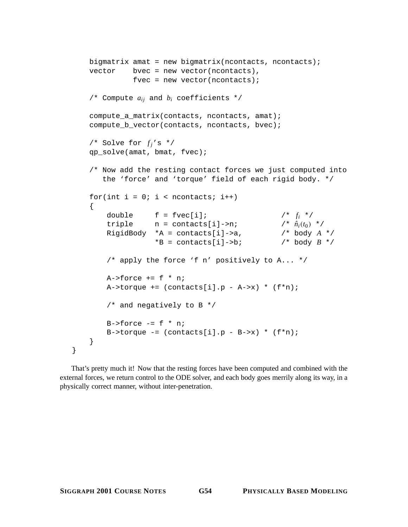```
bigmatrix amat = new bigmatrix(ncontacts, ncontacts);
vector bvec = new vector(ncontacts),
           fvec = new vector(ncontacts);
/* Compute aij and bi coefficients */
compute_a_matrix(contacts, ncontacts, amat);
compute_b_vector(contacts, ncontacts, bvec);
/* Solve for f_i's */
qp_solve(amat, bmat, fvec);
/* Now add the resting contact forces we just computed into
   the 'force' and 'torque' field of each rigid body. */
for(int i = 0; i < ncontacts; i++){
    double f = \text{fvec}[i]; /* f_i */<br>triple n = \text{contacts}[i] \rightarrow n; /* \hat{n}_i(t_0) */
    triple n = \text{constants}[i] \rightarrow n; /* \hat{n}_i(t_0) */<br>RiqidBody *A = contacts[i]->a, /* body A * /RigidBody *A = contacts[i]->a,
                 *B = \text{constants}[i] \rightarrow bi /* body B */
    /* apply the force 'f n' positively to A... */
    A->force += f * n;A->torque += (constants[i], p - A->x) * (f*n);/* and negatively to B */
    B->force -= f * n;
    B->torque -= (constants[i], p - B->x) * (f*n);}
```
That's pretty much it! Now that the resting forces have been computed and combined with the external forces, we return control to the ODE solver, and each body goes merrily along its way, in a physically correct manner, without inter-penetration.

}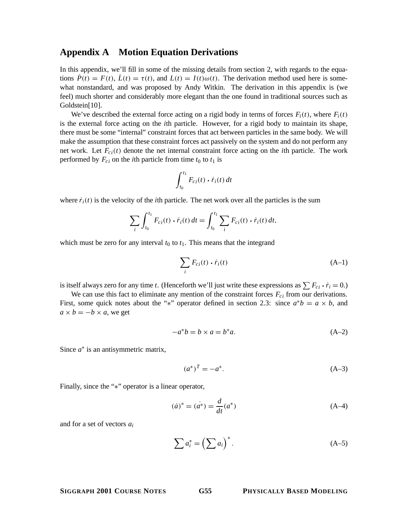## **Appendix A Motion Equation Derivations**

In this appendix, we'll fill in some of the missing details from section 2, with regards to the equations  $\dot{P}(t) = F(t)$ ,  $\dot{L}(t) = \tau(t)$ , and  $L(t) = I(t)\omega(t)$ . The derivation method used here is somewhat nonstandard, and was proposed by Andy Witkin. The derivation in this appendix is (we feel) much shorter and considerably more elegant than the one found in traditional sources such as Goldstein[10].

We've described the external force acting on a rigid body in terms of forces  $F_i(t)$ , where  $F_i(t)$ is the external force acting on the *i*th particle. However, for a rigid body to maintain its shape, there must be some "internal" constraint forces that act between particles in the same body. We will make the assumption that these constraint forces act passively on the system and do not perform any net work. Let  $F_{c,i}(t)$  denote the net internal constraint force acting on the *i*th particle. The work performed by  $F_{ci}$  on the *i*th particle from time  $t_0$  to  $t_1$  is

$$
\int_{t_0}^{t_1} F_{ci}(t) \cdot \dot{r}_i(t) dt
$$

where  $\dot{r}_i(t)$  is the velocity of the *i*th particle. The net work over all the particles is the sum

$$
\sum_{i} \int_{t_0}^{t_1} F_{ci}(t) \cdot \dot{r}_i(t) dt = \int_{t_0}^{t_1} \sum_{i} F_{ci}(t) \cdot \dot{r}_i(t) dt,
$$

which must be zero for any interval  $t_0$  to  $t_1$ . This means that the integrand

$$
\sum_{i} F_{ci}(t) \cdot \dot{r}_i(t) \tag{A-1}
$$

is itself always zero for any time *t*. (Henceforth we'll just write these expressions as  $\sum F_{ci} \cdot \dot{r}_i = 0$ .)

We can use this fact to eliminate any mention of the constraint forces  $F_{ci}$  from our derivations. First, some quick notes about the "\*" operator defined in section 2.3: since  $a^*b = a \times b$ , and  $a \times b = -b \times a$ , we get

$$
-a^*b = b \times a = b^*a. \tag{A-2}
$$

Since *a*∗ is an antisymmetric matrix,

$$
(a^*)^T = -a^*.
$$
 (A-3)

Finally, since the "∗" operator is a linear operator,

$$
(\dot{a})^* = (\dot{a^*}) = \frac{d}{dt}(a^*)
$$
\n(A-4)

and for a set of vectors *ai*

$$
\sum a_i^* = \left(\sum a_i\right)^*.
$$
 (A-5)

## **SIGGRAPH 2001 COURSE NOTES G55 PHYSICALLY BASED MODELING**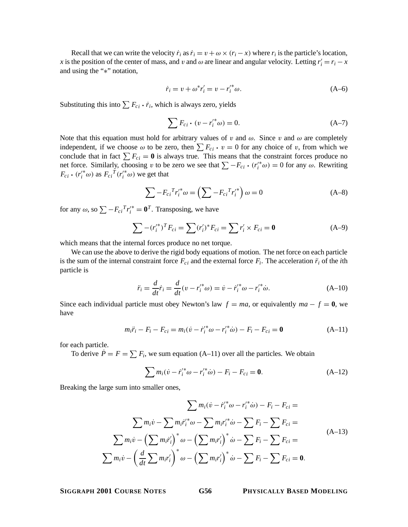Recall that we can write the velocity  $\dot{r}_i$  as  $\dot{r}_i = v + \omega \times (r_i - x)$  where  $r_i$  is the particle's location, *x* is the position of the center of mass, and v and  $\omega$  are linear and angular velocity. Letting  $r_i' = r_i - x$ and using the "∗" notation,

$$
\dot{r}_i = v + \omega^* r'_i = v - r'^*_{i} \omega.
$$
 (A-6)

Substituting this into  $\sum F_{ci} \cdot \dot{r}_i$ , which is always zero, yields

$$
\sum F_{ci} \cdot (v - r_i^{\prime *} \omega) = 0. \tag{A-7}
$$

Note that this equation must hold for arbitrary values of v and  $\omega$ . Since v and  $\omega$  are completely independent, if we choose  $\omega$  to be zero, then  $\sum F_{ci} \cdot v = 0$  for any choice of v, from which we conclude that in fact  $\sum F_{ci} = 0$  is always true. This means that the constraint forces produce no net force. Similarly, choosing *v* to be zero we see that  $\sum F_{ci}$  · ( $r_i^{(*)}$ ω) = 0 for any ω. Rewriting  $F_{i,j}(r^*)$  as  $F_i$   $\Gamma(r^*_{i,j})$  we get that  $F_{ci} \cdot (r_i^{\prime*}\omega)$  as  $F_{ci}^T (r_i^{\prime*}\omega)$  we get that

$$
\sum -F_{ci}{}^{T}r_{i}^{\prime*}\omega = \left(\sum -F_{ci}{}^{T}r_{i}^{\prime*}\right)\omega = 0
$$
 (A-8)

for any  $\omega$ , so  $\sum -F_{ci}{}^T r_i^{\prime*} = \mathbf{0}^T$ . Transposing, we have

$$
\sum -(r_i^*)^T F_{ci} = \sum (r_i')^* F_{ci} = \sum r_i' \times F_{ci} = \mathbf{0}
$$
 (A-9)

which means that the internal forces produce no net torque.

We can use the above to derive the rigid body equations of motion. The net force on each particle is the sum of the internal constraint force  $F_{ci}$  and the external force  $F_i$ . The acceleration  $\ddot{r}_i$  of the *i*th particle is

$$
\ddot{r}_i = \frac{d}{dt}\dot{r}_i = \frac{d}{dt}(v - r_i'^* \omega) = \dot{v} - \dot{r}_i'^* \omega - r_i'^* \dot{\omega}.
$$
 (A-10)

Since each individual particle must obey Newton's law  $f = ma$ , or equivalently  $ma - f = 0$ , we have

$$
m_i \ddot{r}_i - F_i - F_{ci} = m_i (\dot{v} - \dot{r}_i'^* \omega - r_i'^* \dot{\omega}) - F_i - F_{ci} = \mathbf{0}
$$
 (A-11)

for each particle.

To derive  $\dot{P} = F = \sum F_i$ , we sum equation (A–11) over all the particles. We obtain

$$
\sum m_i(\dot{v} - \dot{r}_i'^* \omega - r_i'^* \dot{\omega}) - F_i - F_{ci} = \mathbf{0}.
$$
 (A-12)

Breaking the large sum into smaller ones,

$$
\sum m_i (\dot{v} - \dot{r}_i'^* \omega - r_i'^* \dot{\omega}) - F_i - F_{ci} =
$$
\n
$$
\sum m_i \dot{v} - \sum m_i \dot{r}_i'^* \omega - \sum m_i r_i'^* \dot{\omega} - \sum F_i - \sum F_{ci} =
$$
\n
$$
\sum m_i \dot{v} - \left(\sum m_i \dot{r}_i'\right)^* \omega - \left(\sum m_i r_i'\right)^* \dot{\omega} - \sum F_i - \sum F_{ci} =
$$
\n
$$
\sum m_i \dot{v} - \left(\frac{d}{dt} \sum m_i r_i'\right)^* \omega - \left(\sum m_i r_i'\right)^* \dot{\omega} - \sum F_i - \sum F_{ci} = \mathbf{0}.
$$
\n(A-13)

**SIGGRAPH 2001 COURSE NOTES G56 PHYSICALLY BASED MODELING**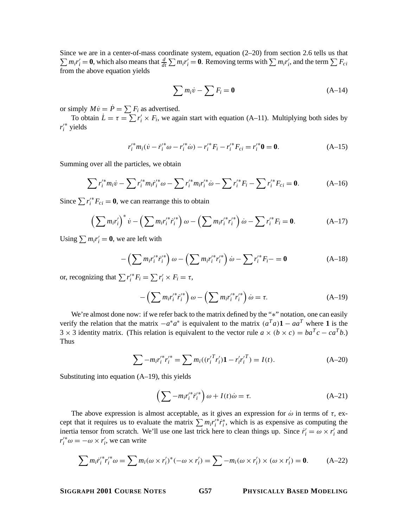Since we are in a center-of-mass coordinate system, equation (2–20) from section 2.6 tells us that  $\sum m_i r'_i = 0$ , which also means that  $\frac{d}{dt} \sum m_i r'_i = 0$ . Removing terms with  $\sum m_i r'_i$ , and the term  $\sum F_{ci}$ from the above equation yields

$$
\sum m_i \dot{v} - \sum F_i = \mathbf{0} \tag{A-14}
$$

or simply  $M\dot{v} = \dot{P} = \sum F_i$  as advertised.

To obtain  $L = \tau = \sum r'_i \times F_i$ , we again start with equation (A–11). Multiplying both sides by  $r_i^{\prime*}$  yields

$$
r_i'^* m_i (\dot{v} - \dot{r}_i'^* \omega - r_i'^* \dot{\omega}) - r_i'^* F_i - r_i'^* F_{ci} = r_i'^* \mathbf{0} = \mathbf{0}.
$$
 (A-15)

Summing over all the particles, we obtain

$$
\sum r_i^{\prime*} m_i \dot{v} - \sum r_i^{\prime*} m_i \dot{r}_i^{\prime*} \omega - \sum r_i^{\prime*} m_i r_i^{\prime*} \dot{\omega} - \sum r_i^{\prime*} F_i - \sum r_i^{\prime*} F_{ci} = \mathbf{0}.
$$
 (A-16)

Since  $\sum r_i'^* F_{ci} = \mathbf{0}$ , we can rearrange this to obtain

$$
\left(\sum m_{i}r_{i}'\right)^{*}\dot{v} - \left(\sum m_{i}r_{i}'^{*}r_{i}'^{*}\right)\omega - \left(\sum m_{i}r_{i}'^{*}r_{i}'^{*}\right)\dot{\omega} - \sum r_{i}'^{*}F_{i} = \mathbf{0}.\tag{A-17}
$$

Using  $\sum m_i r'_i = 0$ , we are left with

$$
-\left(\sum m_i r_i'^* \dot{r}_i'^*\right)\omega - \left(\sum m_i r_i'^* r_i'^*\right)\dot{\omega} - \sum r_i'^* F_i - \mathbf{0}
$$
 (A-18)

or, recognizing that  $\sum r_i'^* F_i = \sum r_i' \times F_i = \tau$ ,

$$
-\left(\sum m_i r_i^{\prime *} \dot{r}_i^{\prime *} \right) \omega - \left(\sum m_i r_i^{\prime *} r_i^{\prime *} \right) \dot{\omega} = \tau. \tag{A-19}
$$

We're almost done now: if we refer back to the matrix defined by the "\*" notation, one can easily verify the relation that the matrix  $-a^*a^*$  is equivalent to the matrix  $(a^Ta)\mathbf{1} - aa^T$  where **1** is the 3 × 3 identity matrix. (This relation is equivalent to the vector rule  $a \times (b \times c) = ba^T c - ca^T b$ .) Thus

$$
\sum -m_i r_i'^* r_i'^* = \sum m_i ((r_i'^T r_i') \mathbf{1} - r_i' r_i'^T) = I(t). \tag{A-20}
$$

Substituting into equation (A–19), this yields

$$
\left(\sum -m_i r_i'^* \dot{r}_i'^*\right)\omega + I(t)\dot{\omega} = \tau.
$$
\n(A-21)

The above expression is almost acceptable, as it gives an expression for  $\dot{\omega}$  in terms of  $\tau$ , except that it requires us to evaluate the matrix  $\sum m_i r_i^* r_i^*$ , which is as expensive as computing the inertia tensor from scratch. We'll use one last trick here to clean things up. Since  $\dot{r}_i' = \omega \times r_i'$  and  $r_i^{\prime\ast}\omega = -\omega \times r_i^{\prime}$ , we can write

$$
\sum m_i \dot{r}_i'^* r_i'^* \omega = \sum m_i (\omega \times r_i')^* (-\omega \times r_i') = \sum -m_i (\omega \times r_i') \times (\omega \times r_i') = 0.
$$
 (A-22)

**SIGGRAPH 2001 COURSE NOTES G57 PHYSICALLY BASED MODELING**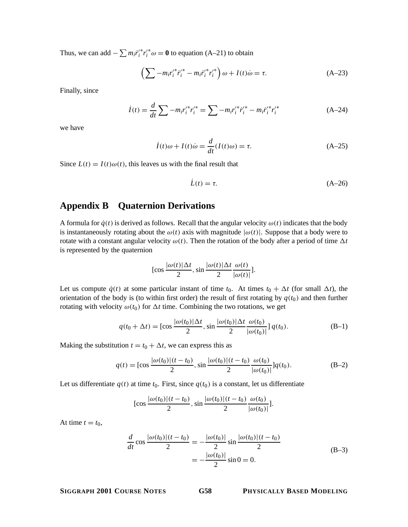Thus, we can add  $-\sum m_i \dot{r}_i'^* r_i'^* \omega = \mathbf{0}$  to equation (A–21) to obtain

$$
\left(\sum -m_i r_i'^* \dot{r}_i'^* - m_i \dot{r}_i'^* r_i'^*\right) \omega + I(t)\dot{\omega} = \tau.
$$
 (A-23)

Finally, since

$$
\dot{I}(t) = \frac{d}{dt} \sum -m_i r_i'^* r_i'^* = \sum -m_i r_i'^* \dot{r}_i'^* - m_i \dot{r}_i'^* r_i'^* \tag{A-24}
$$

we have

$$
\dot{I}(t)\omega + I(t)\dot{\omega} = \frac{d}{dt}(I(t)\omega) = \tau.
$$
 (A-25)

Since  $L(t) = I(t)\omega(t)$ , this leaves us with the final result that

$$
\dot{L}(t) = \tau. \tag{A-26}
$$

## **Appendix B Quaternion Derivations**

A formula for  $\dot{q}(t)$  is derived as follows. Recall that the angular velocity  $\omega(t)$  indicates that the body is instantaneously rotating about the  $\omega(t)$  axis with magnitude  $|\omega(t)|$ . Suppose that a body were to rotate with a constant angular velocity  $\omega(t)$ . Then the rotation of the body after a period of time  $\Delta t$ is represented by the quaternion

$$
[\cos \frac{|\omega(t)| \Delta t}{2}, \sin \frac{|\omega(t)| \Delta t}{2} \frac{\omega(t)}{|\omega(t)|}].
$$

Let us compute  $\dot{q}(t)$  at some particular instant of time  $t_0$ . At times  $t_0 + \Delta t$  (for small  $\Delta t$ ), the orientation of the body is (to within first order) the result of first rotating by  $q(t_0)$  and then further rotating with velocity  $\omega(t_0)$  for  $\Delta t$  time. Combining the two rotations, we get

$$
q(t_0 + \Delta t) = [\cos \frac{|\omega(t_0)| \Delta t}{2}, \sin \frac{|\omega(t_0)| \Delta t}{2} \frac{\omega(t_0)}{|\omega(t_0)|}] q(t_0).
$$
 (B-1)

Making the substitution  $t = t_0 + \Delta t$ , we can express this as

$$
q(t) = [\cos \frac{|\omega(t_0)|(t - t_0)}{2}, \sin \frac{|\omega(t_0)|(t - t_0)}{2} \frac{\omega(t_0)}{|\omega(t_0)|}] q(t_0).
$$
 (B-2)

Let us differentiate  $q(t)$  at time  $t_0$ . First, since  $q(t_0)$  is a constant, let us differentiate

$$
[\cos \frac{|\omega(t_0)|(t-t_0)}{2}, \sin \frac{|\omega(t_0)|(t-t_0)}{2} \frac{\omega(t_0)}{|\omega(t_0)|}].
$$

At time  $t = t_0$ ,

$$
\frac{d}{dt}\cos\frac{|\omega(t_0)|(t-t_0)}{2} = -\frac{|\omega(t_0)|}{2}\sin\frac{|\omega(t_0)|(t-t_0)}{2}
$$
\n
$$
= -\frac{|\omega(t_0)|}{2}\sin 0 = 0.
$$
\n(B-3)

**SIGGRAPH 2001 COURSE NOTES G58 PHYSICALLY BASED MODELING**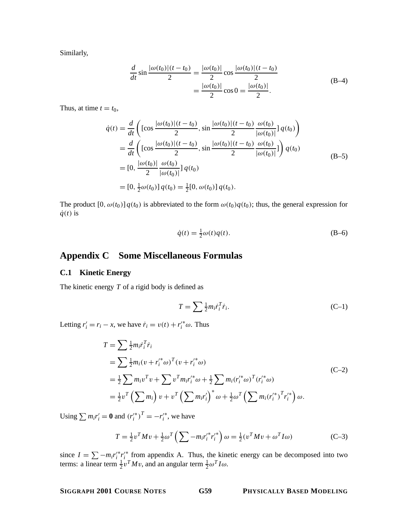Similarly,

$$
\frac{d}{dt}\sin\frac{|\omega(t_0)|(t-t_0)}{2} = \frac{|\omega(t_0)|}{2}\cos\frac{|\omega(t_0)|(t-t_0)}{2}
$$
\n
$$
= \frac{|\omega(t_0)|}{2}\cos 0 = \frac{|\omega(t_0)|}{2}.
$$
\n(B-4)

Thus, at time  $t = t_0$ ,

$$
\dot{q}(t) = \frac{d}{dt} \left( \left[ \cos \frac{|\omega(t_0)| (t - t_0)}{2}, \sin \frac{|\omega(t_0)| (t - t_0)}{2} \frac{\omega(t_0)}{|\omega(t_0)|} \right] q(t_0) \right)
$$
\n
$$
= \frac{d}{dt} \left( \left[ \cos \frac{|\omega(t_0)| (t - t_0)}{2}, \sin \frac{|\omega(t_0)| (t - t_0)}{2} \frac{\omega(t_0)}{|\omega(t_0)|} \right] \right) q(t_0)
$$
\n
$$
= [0, \frac{|\omega(t_0)|}{2} \frac{\omega(t_0)}{|\omega(t_0)|} \right] q(t_0)
$$
\n
$$
= [0, \frac{1}{2} \omega(t_0)] q(t_0) = \frac{1}{2} [0, \omega(t_0)] q(t_0).
$$
\n(B-5)

The product  $[0, \omega(t_0)] q(t_0)$  is abbreviated to the form  $\omega(t_0)q(t_0)$ ; thus, the general expression for  $\dot{q}(t)$  is

$$
\dot{q}(t) = \frac{1}{2}\omega(t)q(t). \tag{B-6}
$$

## **Appendix C Some Miscellaneous Formulas**

## **C.1 Kinetic Energy**

The kinetic energy *T* of a rigid body is defined as

$$
T = \sum \frac{1}{2} m_i \dot{r}_i^T \dot{r}_i. \tag{C-1}
$$

Letting  $r'_i = r_i - x$ , we have  $\dot{r}_i = v(t) + r'^*_{i} \omega$ . Thus

$$
T = \sum \frac{1}{2} m_i r_i^T \dot{r}_i
$$
  
=  $\sum \frac{1}{2} m_i (v + r_i'^* \omega)^T (v + r_i'^* \omega)$   
=  $\frac{1}{2} \sum m_i v^T v + \sum v^T m_i r_i'^* \omega + \frac{1}{2} \sum m_i (r_i'^* \omega)^T (r_i'^* \omega)$   
=  $\frac{1}{2} v^T (\sum m_i) v + v^T (\sum m_i r_i')^* \omega + \frac{1}{2} \omega^T (\sum m_i (r_i'^*)^T r_i'^*) \omega.$  (C-2)

Using  $\sum m_i r'_i = 0$  and  $(r'^{*}_i)^T = -r'^{*}_i$ , we have

$$
T = \frac{1}{2}v^T M v + \frac{1}{2}\omega^T \left(\sum -m_i r_i^{\prime *} r_i^{\prime *} \right) \omega = \frac{1}{2} (v^T M v + \omega^T I \omega)
$$
 (C-3)

since  $I = \sum -m_i r_i'^* r_i'^*$  from appendix A. Thus, the kinetic energy can be decomposed into two terms: a linear term  $\frac{1}{2}v^T M v$ , and an angular term  $\frac{1}{2} \omega^T I \omega$ .

**SIGGRAPH 2001 COURSE NOTES G59 PHYSICALLY BASED MODELING**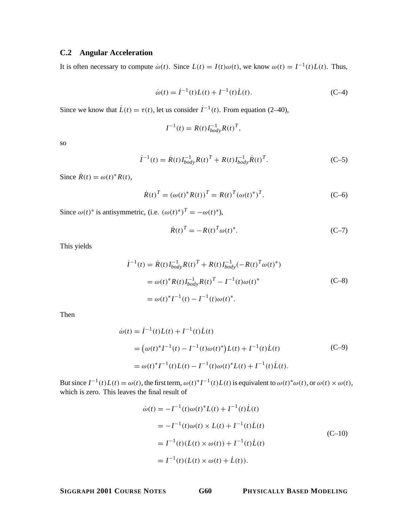## **C.2 Angular Acceleration**

It is often necessary to compute  $\dot{\omega}(t)$ . Since  $L(t) = I(t)\omega(t)$ , we know  $\omega(t) = I^{-1}(t)L(t)$ . Thus,

$$
\dot{\omega}(t) = \dot{I}^{-1}(t)L(t) + I^{-1}(t)\dot{L}(t). \tag{C-4}
$$

Since we know that  $\dot{L}(t) = \tau(t)$ , let us consider  $\dot{I}^{-1}(t)$ . From equation (2–40),

$$
I^{-1}(t) = R(t)I_{body}^{-1}R(t)^{T},
$$

so

$$
\dot{I}^{-1}(t) = \dot{R}(t)I_{body}^{-1}R(t)^{T} + R(t)I_{body}^{-1}\dot{R}(t)^{T}.
$$
 (C-5)

Since  $\dot{R}(t) = \omega(t)^* R(t)$ ,

$$
\dot{R}(t)^{T} = (\omega(t)^{*}R(t))^{T} = R(t)^{T}(\omega(t)^{*})^{T}.
$$
 (C-6)

Since  $\omega(t)^*$  is antisymmetric, (i.e.  $(\omega(t)^*)^T = -\omega(t)^*$ ),

$$
\dot{R}(t)^{T} = -R(t)^{T} \omega(t)^{*}.
$$
 (C-7)

This yields

$$
\begin{split} \dot{I}^{-1}(t) &= \dot{R}(t)I_{body}^{-1}R(t)^{T} + R(t)I_{body}^{-1}(-R(t)^{T}\omega(t)^{*}) \\ &= \omega(t)^{*}R(t)I_{body}^{-1}R(t)^{T} - I^{-1}(t)\omega(t)^{*} \\ &= \omega(t)^{*}I^{-1}(t) - I^{-1}(t)\omega(t)^{*} . \end{split} \tag{C-8}
$$

Then

$$
\dot{\omega}(t) = \dot{I}^{-1}(t)L(t) + I^{-1}(t)\dot{L}(t)
$$
\n
$$
= (\omega(t)^*I^{-1}(t) - I^{-1}(t)\omega(t)^*)L(t) + I^{-1}(t)\dot{L}(t)
$$
\n
$$
= \omega(t)^*I^{-1}(t)L(t) - I^{-1}(t)\omega(t)^*L(t) + I^{-1}(t)\dot{L}(t).
$$
\n(C-9)

But since  $I^{-1}(t)L(t) = \omega(t)$ , the first term,  $\omega(t)^*I^{-1}(t)L(t)$  is equivalent to  $\omega(t)^*\omega(t)$ , or  $\omega(t) \times \omega(t)$ , which is zero. This leaves the final result of

$$
\dot{\omega}(t) = -I^{-1}(t)\omega(t)^* L(t) + I^{-1}(t)\dot{L}(t)
$$
  
\n
$$
= -I^{-1}(t)\omega(t) \times L(t) + I^{-1}(t)\dot{L}(t)
$$
  
\n
$$
= I^{-1}(t)(L(t) \times \omega(t)) + I^{-1}(t)\dot{L}(t)
$$
  
\n
$$
= I^{-1}(t)(L(t) \times \omega(t) + \dot{L}(t)).
$$
\n(C-10)

**SIGGRAPH 2001 COURSE NOTES G60 PHYSICALLY BASED MODELING**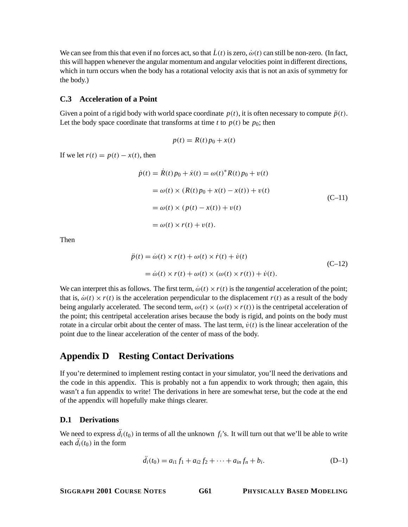We can see from this that even if no forces act, so that  $\dot{L}(t)$  is zero,  $\dot{\omega}(t)$  can still be non-zero. (In fact, this will happen whenever the angular momentum and angular velocities point in different directions, which in turn occurs when the body has a rotational velocity axis that is not an axis of symmetry for the body.)

### **C.3 Acceleration of a Point**

Given a point of a rigid body with world space coordinate  $p(t)$ , it is often necessary to compute  $\ddot{p}(t)$ . Let the body space coordinate that transforms at time *t* to  $p(t)$  be  $p_0$ ; then

$$
p(t) = R(t)p_0 + x(t)
$$

If we let  $r(t) = p(t) - x(t)$ , then

$$
\dot{p}(t) = \dot{R}(t)p_0 + \dot{x}(t) = \omega(t)^* R(t)p_0 + v(t)
$$
\n
$$
= \omega(t) \times (R(t)p_0 + x(t) - x(t)) + v(t)
$$
\n
$$
= \omega(t) \times (p(t) - x(t)) + v(t)
$$
\n
$$
= \omega(t) \times r(t) + v(t).
$$
\n(C-11)

Then

$$
\ddot{p}(t) = \dot{\omega}(t) \times r(t) + \omega(t) \times \dot{r}(t) + \dot{v}(t)
$$
  
=  $\dot{\omega}(t) \times r(t) + \omega(t) \times (\omega(t) \times r(t)) + \dot{v}(t)$ . (C-12)

We can interpret this as follows. The first term,  $\dot{\omega}(t) \times r(t)$  is the *tangential* acceleration of the point; that is,  $\dot{\omega}(t) \times r(t)$  is the acceleration perpendicular to the displacement  $r(t)$  as a result of the body being angularly accelerated. The second term,  $\omega(t) \times (\omega(t) \times r(t))$  is the centripetal acceleration of the point; this centripetal acceleration arises because the body is rigid, and points on the body must rotate in a circular orbit about the center of mass. The last term,  $\dot{v}(t)$  is the linear acceleration of the point due to the linear acceleration of the center of mass of the body.

## **Appendix D Resting Contact Derivations**

If you're determined to implement resting contact in your simulator, you'll need the derivations and the code in this appendix. This is probably not a fun appendix to work through; then again, this wasn't a fun appendix to write! The derivations in here are somewhat terse, but the code at the end of the appendix will hopefully make things clearer.

#### **D.1 Derivations**

We need to express  $d_i(t_0)$  in terms of all the unknown  $f_i$ 's. It will turn out that we'll be able to write each  $d_i(t_0)$  in the form

$$
\ddot{d}_i(t_0) = a_{i1} f_1 + a_{i2} f_2 + \dots + a_{in} f_n + b_i.
$$
 (D-1)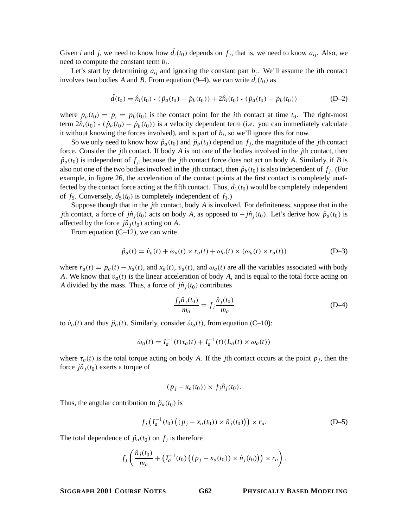Given *i* and *j*, we need to know how  $d_i(t_0)$  depends on  $f_j$ , that is, we need to know  $a_{ij}$ . Also, we need to compute the constant term *bi*.

Let's start by determining  $a_{ij}$  and ignoring the constant part  $b_i$ . We'll assume the *i*th contact involves two bodies *A* and *B*. From equation (9–4), we can write  $d_i(t_0)$  as

$$
\ddot{d}(t_0) = \hat{n}_i(t_0) \cdot (\ddot{p}_a(t_0) - \ddot{p}_b(t_0)) + 2\hat{n}_i(t_0) \cdot (\dot{p}_a(t_0) - \dot{p}_b(t_0))
$$
 (D-2)

where  $p_a(t_0) = p_i = p_b(t_0)$  is the contact point for the *i*th contact at time  $t_0$ . The right-most term  $2\hat{n}_i(t_0) \cdot (\hat{p}_a(t_0) - \hat{p}_b(t_0))$  is a velocity dependent term (i.e. you can immediately calculate<br>it without knowing the forces involved), and is part of h, so we'll ignore this for now it without knowing the forces involved), and is part of  $b_i$ , so we'll ignore this for now.

So we only need to know how  $\ddot{p}_a(t_0)$  and  $\ddot{p}_b(t_0)$  depend on  $f_j$ , the magnitude of the *j*th contact force. Consider the *j*th contact. If body *A* is not one of the bodies involved in the *j*th contact, then  $\ddot{p}_a(t_0)$  is independent of  $f_j$ , because the *j*th contact force does not act on body *A*. Similarly, if *B* is also not one of the two bodies involved in the *j*th contact, then  $\ddot{p}_b(t_0)$  is also independent of  $f_i$ . (For example, in figure 26, the acceleration of the contact points at the first contact is completely unaffected by the contact force acting at the fifth contact. Thus,  $d_1(t_0)$  would be completely independent of  $f_5$ . Conversely,  $d_5(t_0)$  is completely independent of  $f_1$ .)

Suppose though that in the *j*th contact, body *A* is involved. For definiteness, suppose that in the *j*th contact, a force of *jn*<sup> $i$ </sup><sub>*j*</sub>(*t*<sub>0</sub>) acts on body *A*, as opposed to − *jn*<sup> $i$ </sup><sub>*j*</sub>(*t*<sub>0</sub>). Let's derive how  $\ddot{p}_a(t_0)$  is affected by the force  $j\hat{n}_i(t_0)$  acting on A.

From equation  $(C-12)$ , we can write

$$
\ddot{p}_a(t) = \dot{v}_a(t) + \dot{\omega}_a(t) \times r_a(t) + \omega_a(t) \times (\omega_a(t) \times r_a(t))
$$
 (D-3)

where  $r_a(t) = p_a(t) - x_a(t)$ , and  $x_a(t)$ ,  $v_a(t)$ , and  $\omega_a(t)$  are all the variables associated with body *A*. We know that  $\dot{v}_a(t)$  is the linear acceleration of body *A*, and is equal to the total force acting on *A* divided by the mass. Thus, a force of  $j\hat{n}_i(t_0)$  contributes

$$
\frac{f_j\hat{n}_j(t_0)}{m_a} = f_j \frac{\hat{n}_j(t_0)}{m_a} \tag{D-4}
$$

to  $\dot{v}_a(t)$  and thus  $\ddot{p}_a(t)$ . Similarly, consider  $\dot{\omega}_a(t)$ , from equation (C–10):

$$
\dot{\omega}_a(t) = I_a^{-1}(t)\tau_a(t) + I_a^{-1}(t)(L_a(t) \times \omega_a(t))
$$

where  $\tau_a(t)$  is the total torque acting on body *A*. If the *j*th contact occurs at the point  $p_j$ , then the force  $j\hat{n}_i(t_0)$  exerts a torque of

$$
(p_j - x_a(t_0)) \times f_j \hat{n}_j(t_0).
$$

Thus, the angular contribution to  $\ddot{p}_a(t_0)$  is

$$
f_j(I_a^{-1}(t_0) ((p_j - x_a(t_0)) \times \hat{n}_j(t_0))) \times r_a.
$$
 (D-5)

The total dependence of  $\ddot{p}_a(t_0)$  on  $f_i$  is therefore

$$
f_j\left(\frac{\hat{n}_j(t_0)}{m_a}+\left(I_a^{-1}(t_0)\left((p_j-x_a(t_0))\times\hat{n}_j(t_0)\right)\right)\times r_a\right).
$$

**SIGGRAPH 2001 COURSE NOTES G62 PHYSICALLY BASED MODELING**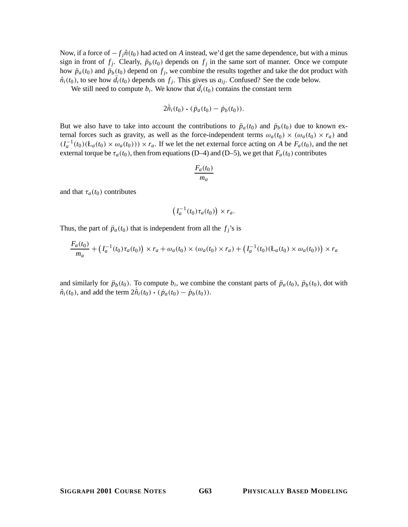Now, if a force of  $-f_i\hat{n}(t_0)$  had acted on *A* instead, we'd get the same dependence, but with a minus sign in front of  $f_j$ . Clearly,  $\ddot{p}_b(t_0)$  depends on  $f_j$  in the same sort of manner. Once we compute how  $\ddot{p}_a(t_0)$  and  $\ddot{p}_b(t_0)$  depend on  $f_i$ , we combine the results together and take the dot product with  $\hat{n}_i(t_0)$ , to see how  $d_i(t_0)$  depends on  $f_j$ . This gives us  $a_{ij}$ . Confused? See the code below.

We still need to compute  $b_i$ . We know that  $d_i(t_0)$  contains the constant term

$$
2\hat{n}_i(t_0)\boldsymbol{\cdot}(\dot{p}_a(t_0)-\dot{p}_b(t_0)).
$$

But we also have to take into account the contributions to  $\ddot{p}_a(t_0)$  and  $\ddot{p}_b(t_0)$  due to known external forces such as gravity, as well as the force-independent terms  $\omega_a(t_0) \times (\omega_a(t_0) \times r_a)$  and  $(I_a^{-1}(t_0)(L_a(t_0) \times \omega_a(t_0))) \times r_a$ . If we let the net external force acting on *A* be  $F_a(t_0)$ , and the net external torque be  $\tau_a(t_0)$ , then from equations (D–4) and (D–5), we get that  $F_a(t_0)$  contributes

$$
\frac{F_a(t_0)}{m_a}
$$

and that  $\tau_a(t_0)$  contributes

$$
\left(I_a^{-1}(t_0)\tau_a(t_0)\right)\times r_a.
$$

Thus, the part of  $\ddot{p}_a(t_0)$  that is independent from all the  $f_j$ 's is

$$
\frac{F_a(t_0)}{m_a} + (I_a^{-1}(t_0)\tau_a(t_0)) \times r_a + \omega_a(t_0) \times (\omega_a(t_0) \times r_a) + (I_a^{-1}(t_0)(E_a(t_0) \times \omega_a(t_0))) \times r_a
$$

and similarly for  $\ddot{p}_b(t_0)$ . To compute  $b_i$ , we combine the constant parts of  $\ddot{p}_a(t_0)$ ,  $\ddot{p}_b(t_0)$ , dot with  $\hat{n}_i(t_0)$ , and add the term  $2\hat{n}_i(t_0) \cdot (\dot{p}_a(t_0) - \dot{p}_b(t_0))$ .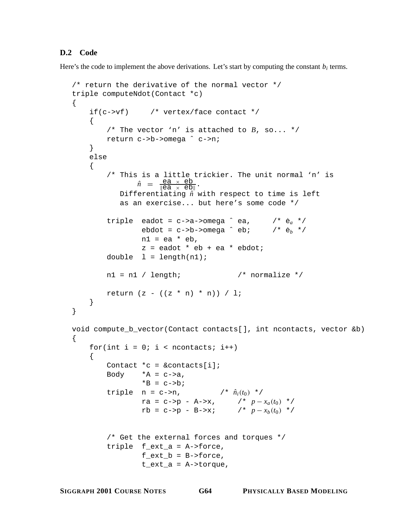## **D.2 Code**

Here's the code to implement the above derivations. Let's start by computing the constant  $b_i$  terms.

```
/* return the derivative of the normal vector */
triple computeNdot(Contact *c)
{
    if(c->vf) /* vertex/face contact */
     {
         /* The vector 'n' is attached to B, so... */
         return c->b->omega ˆ c->n;
     }
    else
     {
         /* This is a little trickier. The unit normal 'n' is
                  \hat{n} = \frac{ea \times eb}{\parallel ea \times eb \parallel}.
             Differentiating \hat{n} with respect to time is left
             as an exercise... but here's some code */
         triple eadot = c->a->omega \hat{c} ea, \hat{c} \hat{c} */<br>ebdot = c->b->omega \hat{c} eb; \hat{c} * \hat{c} */
                   ebdot = c->b->omega ^ eb;
                   nl = ea * eb,z = eadot * eb + ea * ebdot;
         double l = length(n1);nl = nl / length; /* normalize */
         return (z - ((z * n) * n)) / 1;
    }
}
void compute_b_vector(Contact contacts[], int ncontacts, vector &b)
{
    for(int i = 0; i < ncontacts; i++){
         Contact *c = \&contacts[i];Body *A = c - > a,
                   *B = c->b;triple n = c \rightarrow n, /* \hat{n}_i(t_0) */<br>ra = c->p - A->x, /* p - x_a(t_0) */
                   ra = c->p - A->x, /* p − xa(t0 ) */
                   rb = c \rightarrow p - B \rightarrow x; /* p - x_b(t_0) */
         /* Get the external forces and torques */
         triple f_ext_a = A->force,
                   f\_ext_b = B->force,t_ext_a = A->torque,
```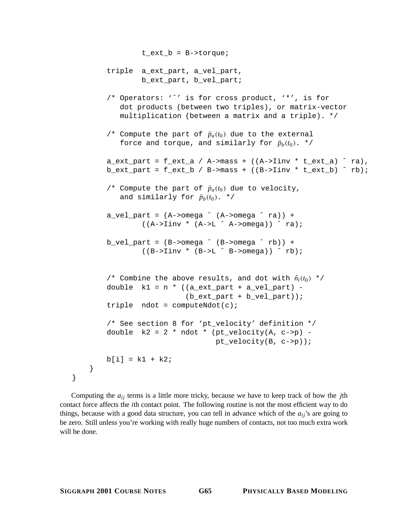```
t_ext_b = B->torque;
    triple a_ext_part, a_vel_part,
             b_ext_part, b_vel_part;
    /* Operators: 'ˆ' is for cross product, '*', is for
       dot products (between two triples), or matrix-vector
       multiplication (between a matrix and a triple). */
    /* Compute the part of \ddot{p}_a(t_0) due to the external
       force and torque, and similarly for \ddot{p}_b(t_0). */
    a_ext_part = f_ext_a / A->mass + ((A-)Iinv * t_ext_a) \hat{a} ra),
    b_ext_part = f_ext_b / B->mass + ((B\rightarrow \text{Iinv} * t_ext_b) \land rb);
    /* Compute the part of \ddot{p}_a(t_0) due to velocity,
       and similarly for \ddot{p}_b(t_0). */
    a<sub>_vel_part</sub> = (A->omega^ (A->omega)) +((A->Iinv * (A->L ^ A->omega))) ^ ng)b<sup>-</sup>vel_part = (B->omega^ (B->omega^ n)) +((B->Iinv * (B->L ^ B->omega))) ^*rb);/* Combine the above results, and dot with \hat{n}_i(t_0) */
    double k1 = n * ((a\_ext\_part + a\_vel\_part) -(b_ext_part + b_vel_part));
    triple ndot = computeNdot(c);
    /* See section 8 for 'pt_velocity' definition */
    double k2 = 2 * ndot * (pt\_velocity(A, c - p) - p)pt_velocity(B, c->p));
    b[i] = k1 + k2;}
```
Computing the  $a_{ij}$  terms is a little more tricky, because we have to keep track of how the *j*th contact force affects the *i*th contact point. The following routine is not the most efficient way to do things, because with a good data structure, you can tell in advance which of the  $a_{ij}$ 's are going to be zero. Still unless you're working with really huge numbers of contacts, not too much extra work will be done.

}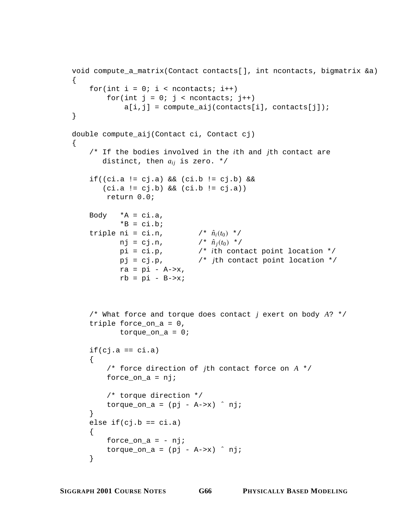```
void compute_a_matrix(Contact contacts[], int ncontacts, bigmatrix &a)
{
    for(int i = 0; i < ncontacts; i++)for(int j = 0; j < ncontacts; j++)a[i,j] = compute aij(constants[i], contacts[j]);}
double compute_aij(Contact ci, Contact cj)
{
    /* If the bodies involved in the ith and jth contact are
       distinct, then aij is zero. */
    if((ci.a != cj.a) && (ci.b != cj.b) &&
       (ci.a != cj.b) && (ci.b != cj.a))
        return 0.0;
    Body *A = ci.a,*B = c_i.b_itriple ni = ci.n, / * \hat{n}_i(t_0) * /<br>
nj = cj.n, / * \hat{n}_i(t_0) * /nj = cj.n, / \hat{n}_j(t_0) */<br>pi = ci.p, / i th cont
                               /* ith contact point location */
           pj = cj.p, /* jth contact point location */
           ra = pi - A->x,
           rb = pi - B->x;/* What force and torque does contact j exert on body A? */
    triple force_on_a = 0,
            torque\_on_a = 0;if(cj.a == ci.a)\left\{ \right./* force direction of jth contact force on A */
        force_on_a = nj;
        /* torque direction */
        torque_on_a = (pj - A->x) nj;
    }
    else if(cj.b == ci.a){
        force on a = - \pi i;
        torque_on_a = (pj - A->x) nj;
    }
```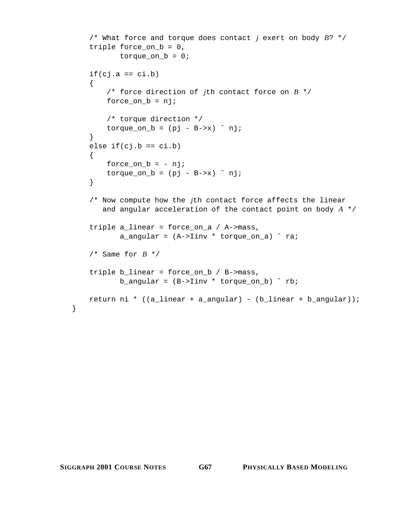```
/* What force and torque does contact j exert on body B? */
triple force_on_b = 0,
       torque\_on_b = 0;if(cj.a == ci.b){
    /* force direction of jth contact force on B */
    force_on_b = nj;
    /* torque direction */
    torque_on_b = (pj - B->x) nji}
else if(cj.b == ci.b){
    force_on_b = - nj;
    torque\_on_b = (pj - B->x) nj;
}
/* Now compute how the jth contact force affects the linear
   and angular acceleration of the contact point on body A */
triple a_linear = force_on_a / A->mass,
       a_angular = (A-)Iinv * torque_on_a) \hat{a} ra;
/* Same for B * /triple b_linear = force_on_b / B->mass,
       b_angular = (B->Iinv * torque_0n_b) 'rb;
return ni * ((a_linear + a_angular) - (b_linear + b_angular));
```
}